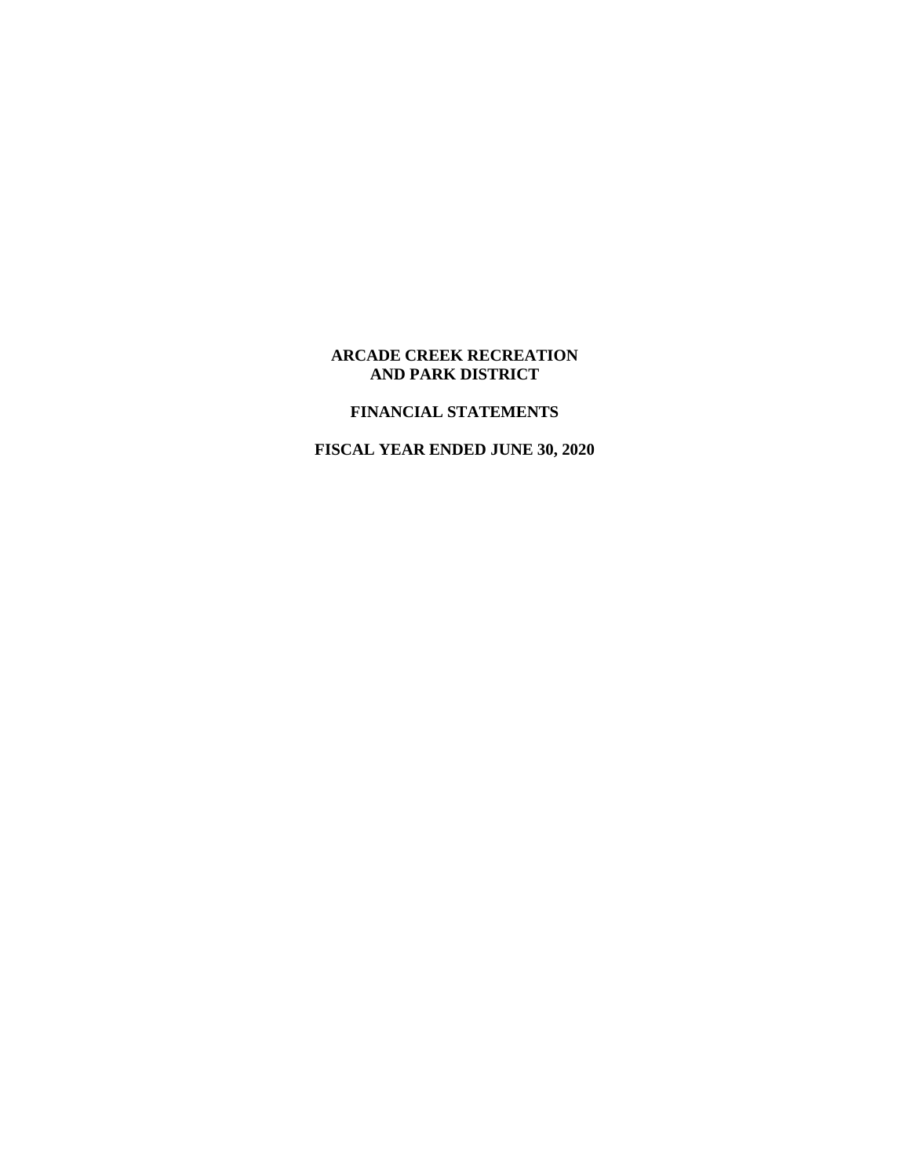# **FINANCIAL STATEMENTS**

**FISCAL YEAR ENDED JUNE 30, 2020**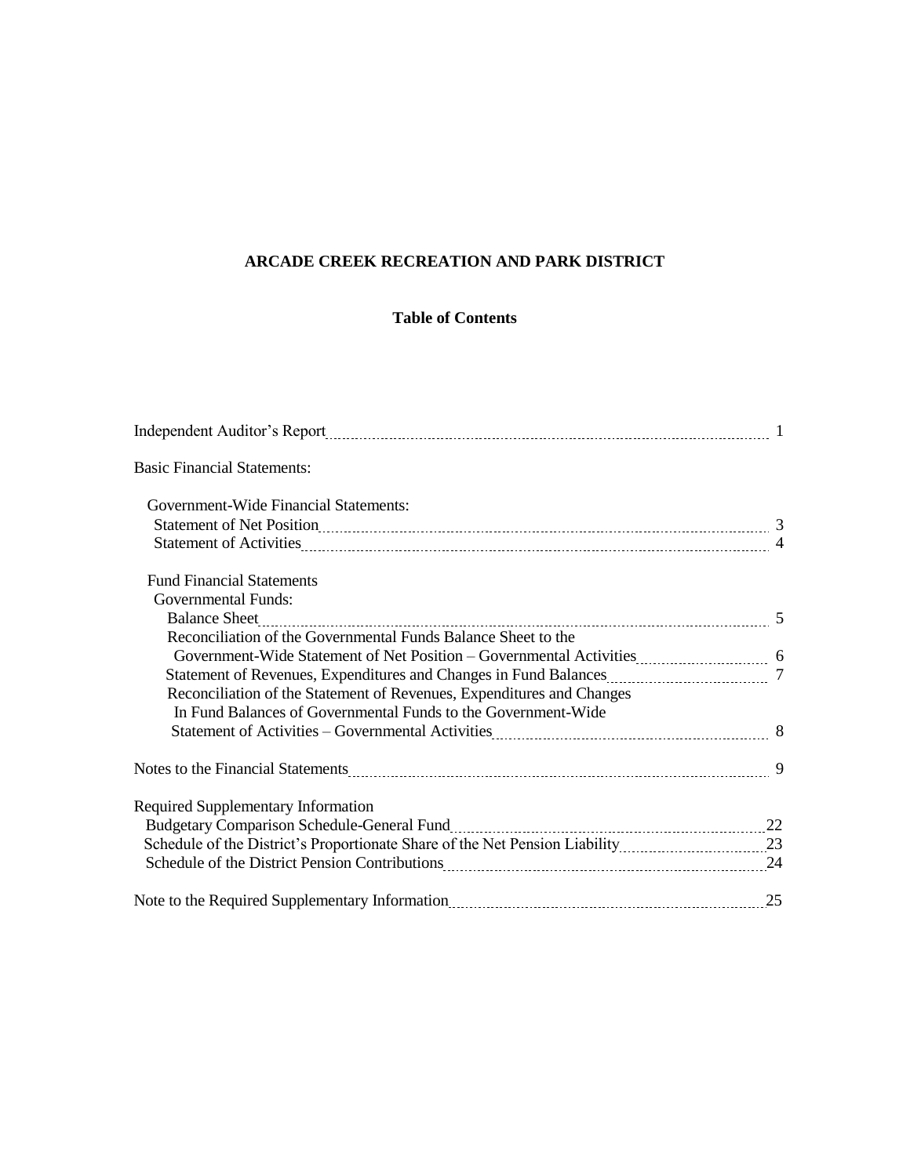# **Table of Contents**

| <b>Basic Financial Statements:</b>                                                                         |  |
|------------------------------------------------------------------------------------------------------------|--|
| Government-Wide Financial Statements:                                                                      |  |
|                                                                                                            |  |
|                                                                                                            |  |
| <b>Fund Financial Statements</b>                                                                           |  |
| <b>Governmental Funds:</b>                                                                                 |  |
|                                                                                                            |  |
| Reconciliation of the Governmental Funds Balance Sheet to the                                              |  |
| Government-Wide Statement of Net Position - Governmental Activities [10011] [6] 6                          |  |
|                                                                                                            |  |
| Reconciliation of the Statement of Revenues, Expenditures and Changes                                      |  |
| In Fund Balances of Governmental Funds to the Government-Wide                                              |  |
|                                                                                                            |  |
|                                                                                                            |  |
| Required Supplementary Information                                                                         |  |
| Budgetary Comparison Schedule-General Fund<br>1990 - Ann ann ann an Comparison Schedule-General Fund<br>22 |  |
|                                                                                                            |  |
| Schedule of the District Pension Contributions [11] 24 and 24                                              |  |
|                                                                                                            |  |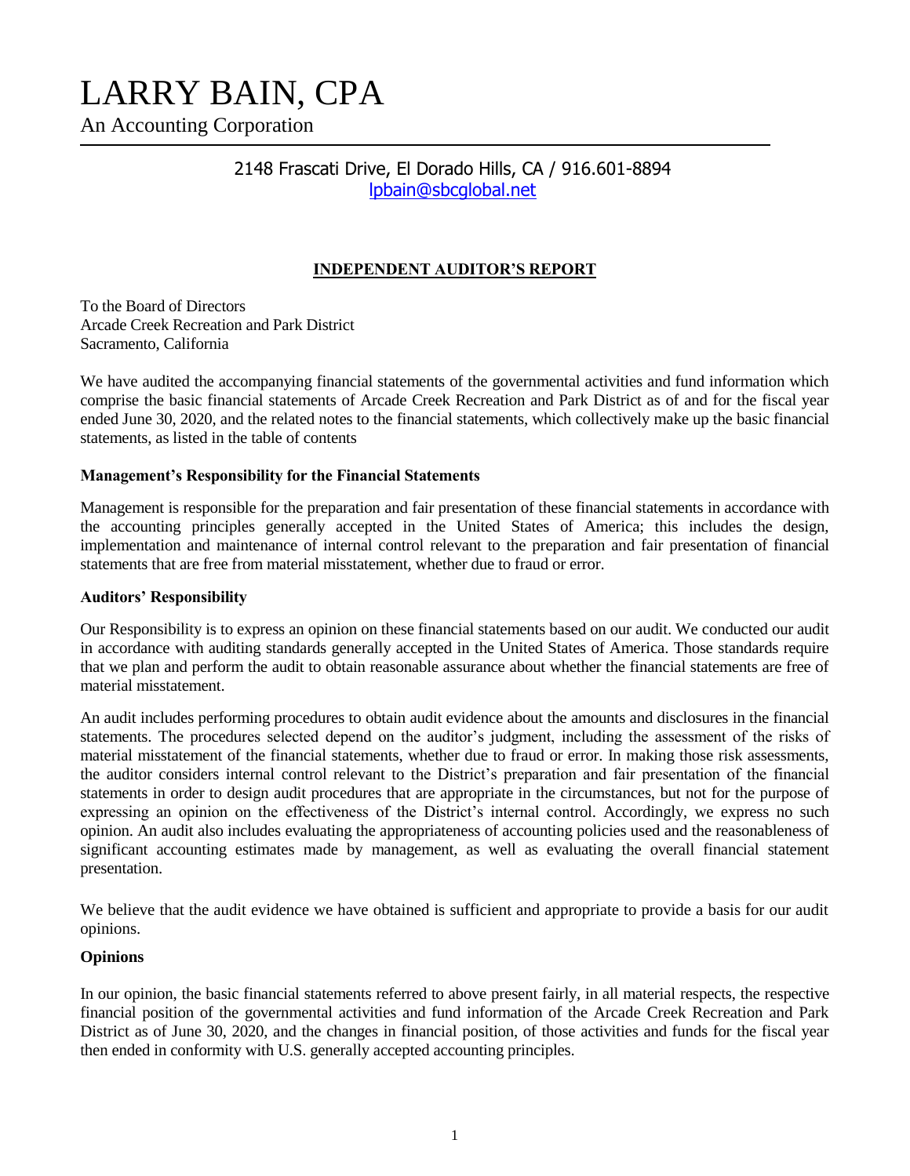# LARRY BAIN, CPA

An Accounting Corporation

# 2148 Frascati Drive, El Dorado Hills, CA / 916.601-8894 [lpbain@sbcglobal.net](mailto:auditor@marcello-cpa.com)

# **INDEPENDENT AUDITOR'S REPORT**

To the Board of Directors Arcade Creek Recreation and Park District Sacramento, California

We have audited the accompanying financial statements of the governmental activities and fund information which comprise the basic financial statements of Arcade Creek Recreation and Park District as of and for the fiscal year ended June 30, 2020, and the related notes to the financial statements, which collectively make up the basic financial statements, as listed in the table of contents

## **Management's Responsibility for the Financial Statements**

Management is responsible for the preparation and fair presentation of these financial statements in accordance with the accounting principles generally accepted in the United States of America; this includes the design, implementation and maintenance of internal control relevant to the preparation and fair presentation of financial statements that are free from material misstatement, whether due to fraud or error.

#### **Auditors' Responsibility**

Our Responsibility is to express an opinion on these financial statements based on our audit. We conducted our audit in accordance with auditing standards generally accepted in the United States of America. Those standards require that we plan and perform the audit to obtain reasonable assurance about whether the financial statements are free of material misstatement.

An audit includes performing procedures to obtain audit evidence about the amounts and disclosures in the financial statements. The procedures selected depend on the auditor's judgment, including the assessment of the risks of material misstatement of the financial statements, whether due to fraud or error. In making those risk assessments, the auditor considers internal control relevant to the District's preparation and fair presentation of the financial statements in order to design audit procedures that are appropriate in the circumstances, but not for the purpose of expressing an opinion on the effectiveness of the District's internal control. Accordingly, we express no such opinion. An audit also includes evaluating the appropriateness of accounting policies used and the reasonableness of significant accounting estimates made by management, as well as evaluating the overall financial statement presentation.

We believe that the audit evidence we have obtained is sufficient and appropriate to provide a basis for our audit opinions.

## **Opinions**

In our opinion, the basic financial statements referred to above present fairly, in all material respects, the respective financial position of the governmental activities and fund information of the Arcade Creek Recreation and Park District as of June 30, 2020, and the changes in financial position, of those activities and funds for the fiscal year then ended in conformity with U.S. generally accepted accounting principles.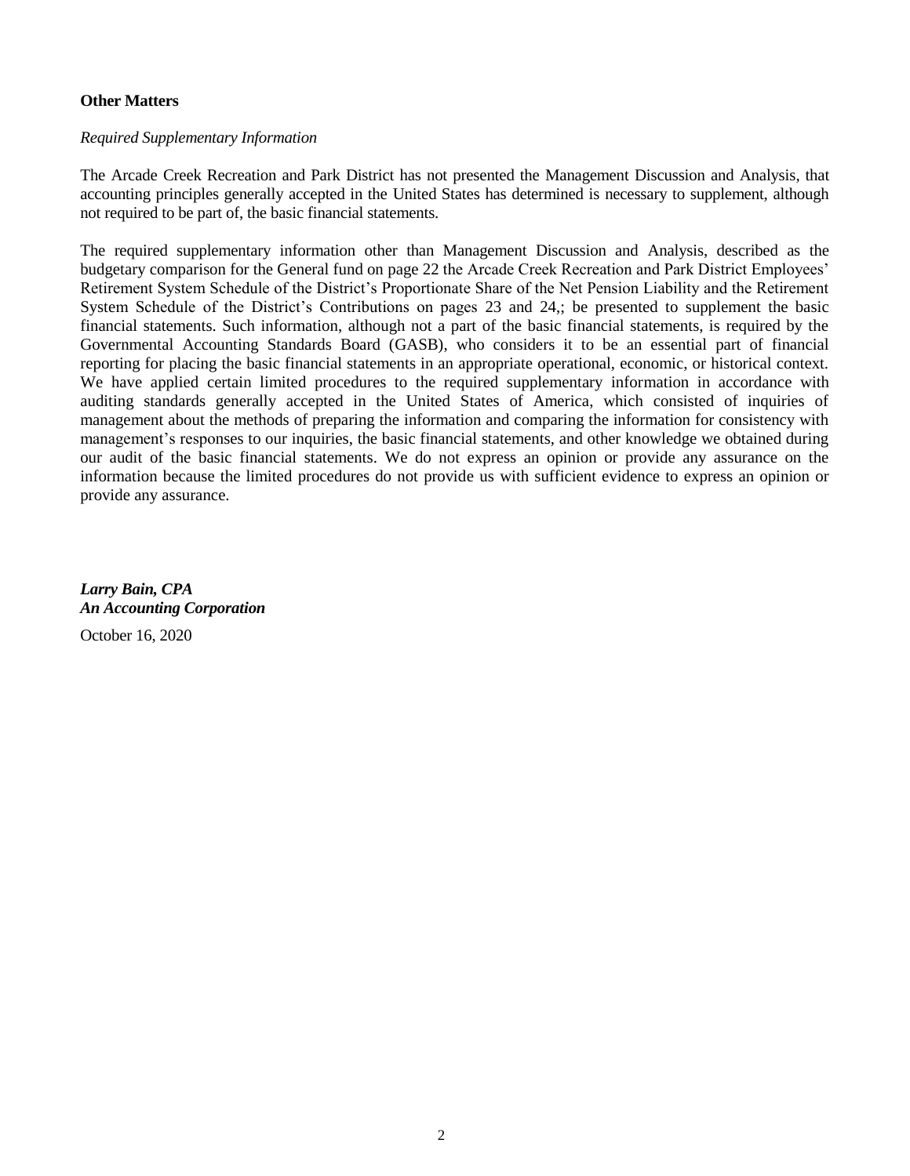# **Other Matters**

## *Required Supplementary Information*

The Arcade Creek Recreation and Park District has not presented the Management Discussion and Analysis, that accounting principles generally accepted in the United States has determined is necessary to supplement, although not required to be part of, the basic financial statements.

The required supplementary information other than Management Discussion and Analysis, described as the budgetary comparison for the General fund on page 22 the Arcade Creek Recreation and Park District Employees' Retirement System Schedule of the District's Proportionate Share of the Net Pension Liability and the Retirement System Schedule of the District's Contributions on pages 23 and 24,; be presented to supplement the basic financial statements. Such information, although not a part of the basic financial statements, is required by the Governmental Accounting Standards Board (GASB), who considers it to be an essential part of financial reporting for placing the basic financial statements in an appropriate operational, economic, or historical context. We have applied certain limited procedures to the required supplementary information in accordance with auditing standards generally accepted in the United States of America, which consisted of inquiries of management about the methods of preparing the information and comparing the information for consistency with management's responses to our inquiries, the basic financial statements, and other knowledge we obtained during our audit of the basic financial statements. We do not express an opinion or provide any assurance on the information because the limited procedures do not provide us with sufficient evidence to express an opinion or provide any assurance.

*Larry Bain, CPA An Accounting Corporation*

October 16, 2020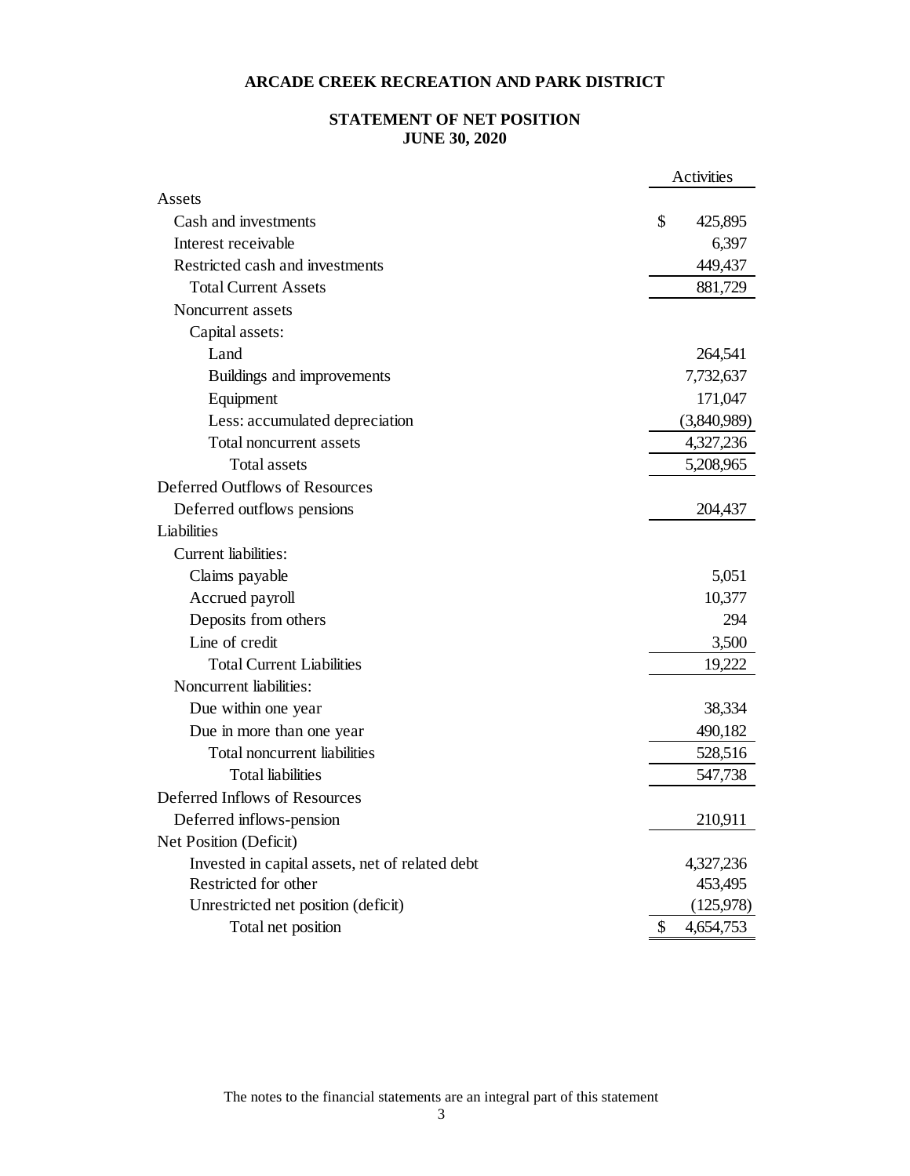# **STATEMENT OF NET POSITION JUNE 30, 2020**

|                                                 | Activities      |
|-------------------------------------------------|-----------------|
| Assets                                          |                 |
| Cash and investments                            | \$<br>425,895   |
| Interest receivable                             | 6,397           |
| Restricted cash and investments                 | 449,437         |
| <b>Total Current Assets</b>                     | 881,729         |
| Noncurrent assets                               |                 |
| Capital assets:                                 |                 |
| Land                                            | 264,541         |
| Buildings and improvements                      | 7,732,637       |
| Equipment                                       | 171,047         |
| Less: accumulated depreciation                  | (3,840,989)     |
| Total noncurrent assets                         | 4,327,236       |
| <b>Total assets</b>                             | 5,208,965       |
| Deferred Outflows of Resources                  |                 |
| Deferred outflows pensions                      | 204,437         |
| Liabilities                                     |                 |
| Current liabilities:                            |                 |
| Claims payable                                  | 5,051           |
| Accrued payroll                                 | 10,377          |
| Deposits from others                            | 294             |
| Line of credit                                  | 3,500           |
| <b>Total Current Liabilities</b>                | 19,222          |
| Noncurrent liabilities:                         |                 |
| Due within one year                             | 38,334          |
| Due in more than one year                       | 490,182         |
| Total noncurrent liabilities                    | 528,516         |
| <b>Total liabilities</b>                        | 547,738         |
| Deferred Inflows of Resources                   |                 |
| Deferred inflows-pension                        | 210,911         |
| Net Position (Deficit)                          |                 |
| Invested in capital assets, net of related debt | 4,327,236       |
| Restricted for other                            | 453,495         |
| Unrestricted net position (deficit)             | (125,978)       |
| Total net position                              | \$<br>4,654,753 |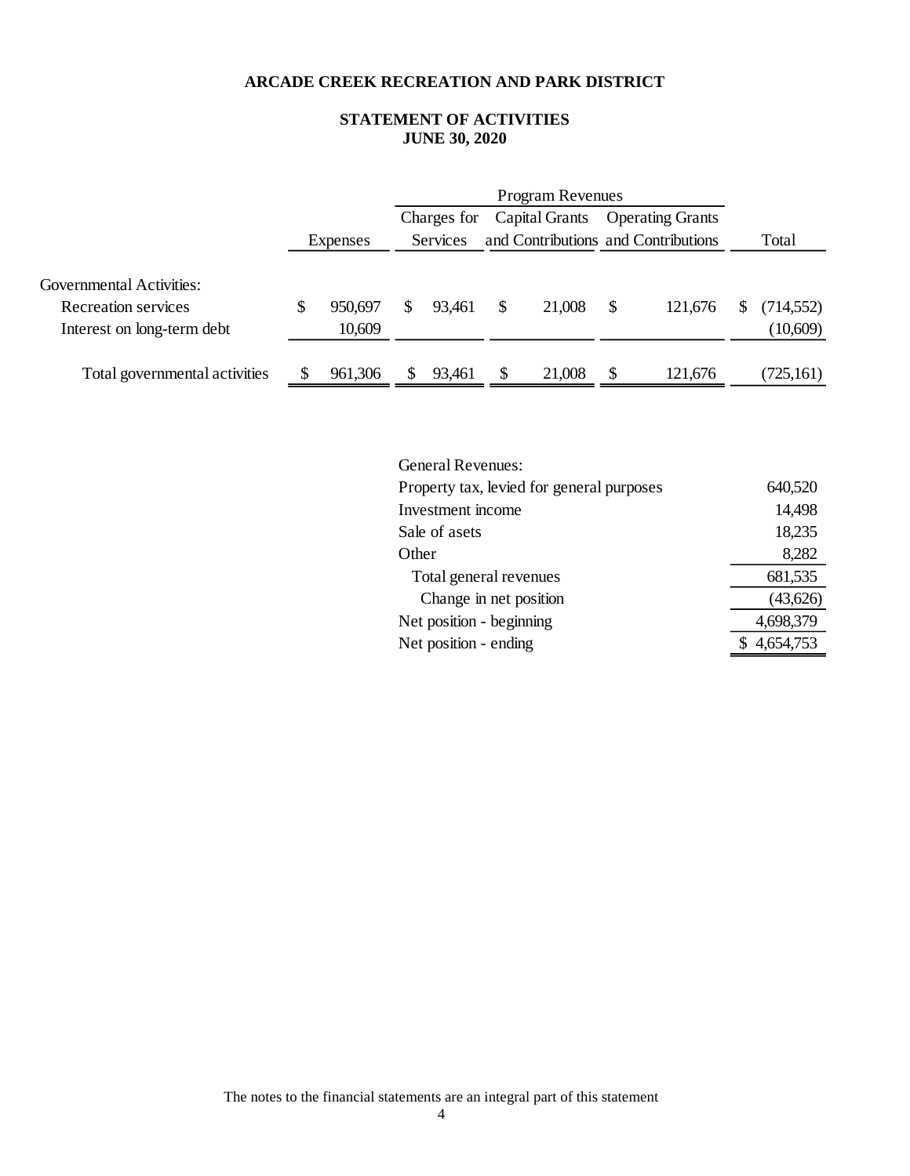# **STATEMENT OF ACTIVITIES JUNE 30, 2020**

|                               |    |          | Charges for | Capital Grants |    | <b>Operating Grants</b>             |            |
|-------------------------------|----|----------|-------------|----------------|----|-------------------------------------|------------|
|                               |    | Expenses | Services    |                |    | and Contributions and Contributions | Total      |
|                               |    |          |             |                |    |                                     |            |
| Governmental Activities:      |    |          |             |                |    |                                     |            |
| Recreation services           | S. | 950,697  | 93,461      | \$<br>21,008   | \$ | 121,676                             | (714, 552) |
| Interest on long-term debt    |    | 10,609   |             |                |    |                                     | (10,609)   |
|                               |    |          |             |                |    |                                     |            |
| Total governmental activities |    | 961,306  | 93,461      | \$<br>21,008   |    | 121,676                             | (725,161)  |

| <b>General Revenues:</b>                  |           |
|-------------------------------------------|-----------|
| Property tax, levied for general purposes | 640,520   |
| Investment income                         | 14,498    |
| Sale of asets                             | 18,235    |
| Other                                     | 8,282     |
| Total general revenues                    | 681,535   |
| Change in net position                    | (43,626)  |
| Net position - beginning                  | 4,698,379 |
| Net position - ending                     | 4,654,753 |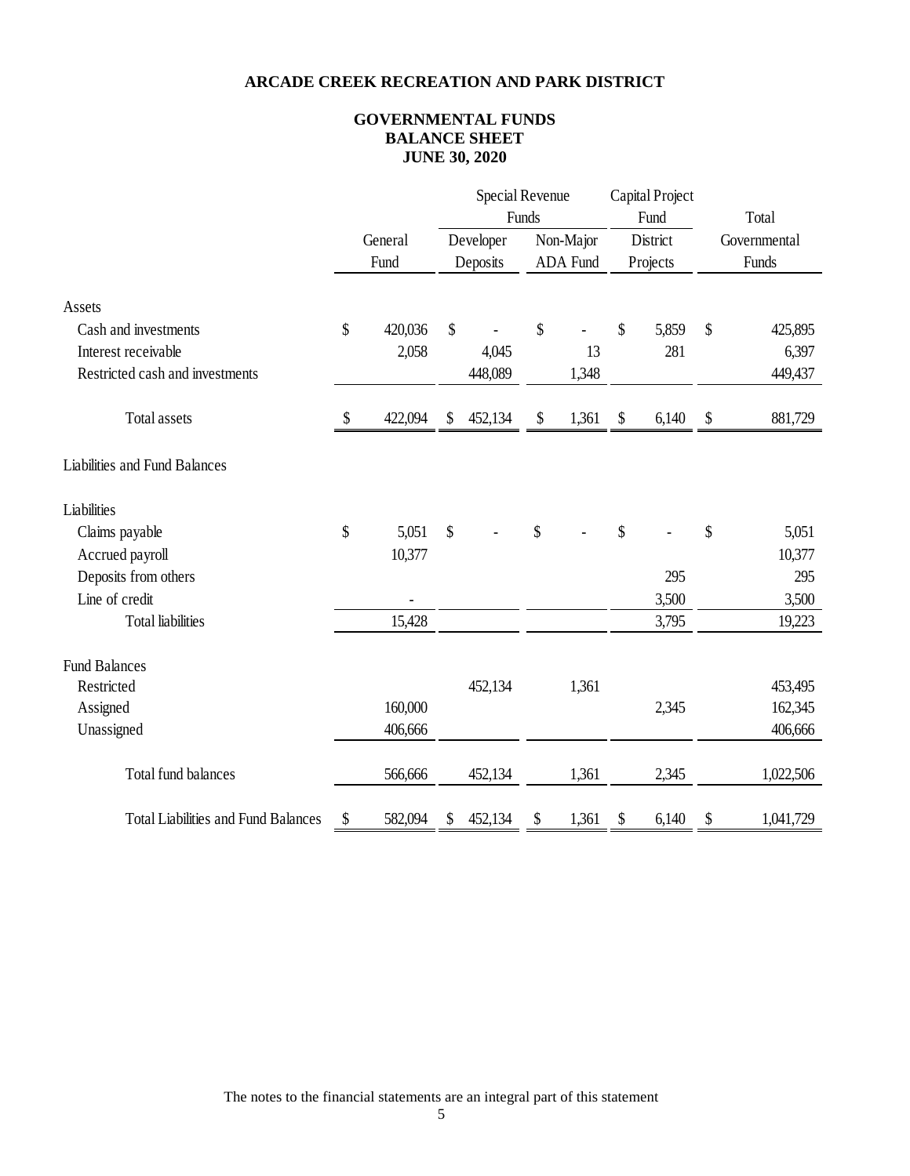# **GOVERNMENTAL FUNDS BALANCE SHEET JUNE 30, 2020**

|                                            |                         |         |    | Special Revenue |                           |                 |               | Capital Project |                           |              |
|--------------------------------------------|-------------------------|---------|----|-----------------|---------------------------|-----------------|---------------|-----------------|---------------------------|--------------|
|                                            |                         |         |    |                 | Funds                     |                 |               | Fund            |                           | Total        |
|                                            |                         | General |    | Developer       |                           | Non-Major       |               | District        |                           | Governmental |
|                                            |                         | Fund    |    | Deposits        |                           | <b>ADA Fund</b> |               | Projects        |                           | Funds        |
| Assets                                     |                         |         |    |                 |                           |                 |               |                 |                           |              |
| Cash and investments                       | \$                      | 420,036 | \$ |                 | \$                        |                 | \$            | 5,859           | \$                        | 425,895      |
| Interest receivable                        |                         | 2,058   |    | 4,045           |                           | 13              |               | 281             |                           | 6,397        |
| Restricted cash and investments            |                         |         |    | 448,089         |                           | 1,348           |               |                 |                           | 449,437      |
| <b>Total assets</b>                        | $\sqrt[6]{\frac{1}{2}}$ | 422,094 | \$ | 452,134         | $\boldsymbol{\mathsf{S}}$ | 1,361           | $\mathcal{S}$ | 6,140           | $\boldsymbol{\mathsf{S}}$ | 881,729      |
| Liabilities and Fund Balances              |                         |         |    |                 |                           |                 |               |                 |                           |              |
| Liabilities                                |                         |         |    |                 |                           |                 |               |                 |                           |              |
| Claims payable                             | \$                      | 5,051   | \$ |                 | \$                        |                 | \$            |                 | \$                        | 5,051        |
| Accrued payroll                            |                         | 10,377  |    |                 |                           |                 |               |                 |                           | 10,377       |
| Deposits from others                       |                         |         |    |                 |                           |                 |               | 295             |                           | 295          |
| Line of credit                             |                         |         |    |                 |                           |                 |               | 3,500           |                           | 3,500        |
| <b>Total liabilities</b>                   |                         | 15,428  |    |                 |                           |                 |               | 3,795           |                           | 19,223       |
| <b>Fund Balances</b>                       |                         |         |    |                 |                           |                 |               |                 |                           |              |
| Restricted                                 |                         |         |    | 452,134         |                           | 1,361           |               |                 |                           | 453,495      |
| Assigned                                   |                         | 160,000 |    |                 |                           |                 |               | 2,345           |                           | 162,345      |
| Unassigned                                 |                         | 406,666 |    |                 |                           |                 |               |                 |                           | 406,666      |
| Total fund balances                        |                         | 566,666 |    | 452,134         |                           | 1,361           |               | 2,345           |                           | 1,022,506    |
| <b>Total Liabilities and Fund Balances</b> | \$                      | 582,094 | \$ | 452,134         | \$                        | 1,361           | \$            | 6,140           | \$                        | 1,041,729    |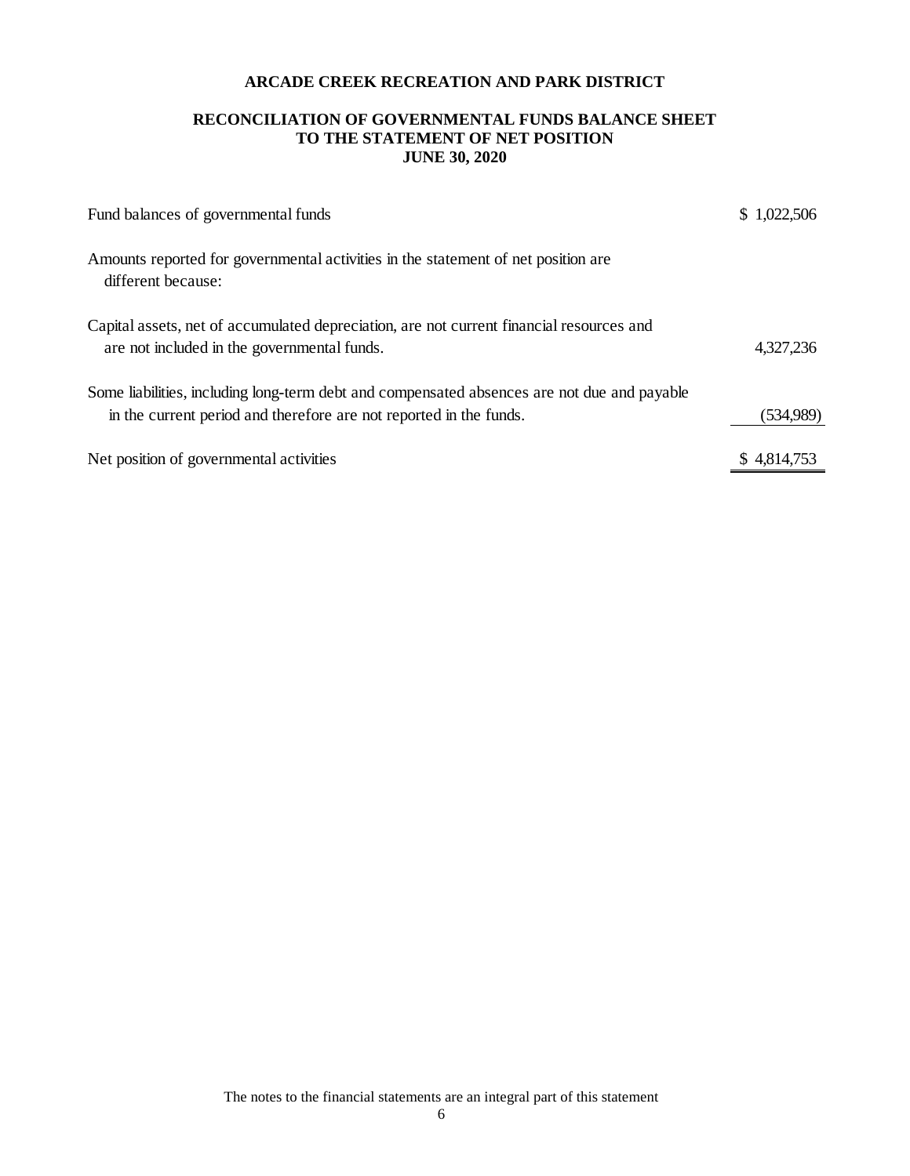## **RECONCILIATION OF GOVERNMENTAL FUNDS BALANCE SHEET TO THE STATEMENT OF NET POSITION JUNE 30, 2020**

| Fund balances of governmental funds                                                                                                                               | 1,022,506   |
|-------------------------------------------------------------------------------------------------------------------------------------------------------------------|-------------|
| Amounts reported for governmental activities in the statement of net position are<br>different because:                                                           |             |
| Capital assets, net of accumulated depreciation, are not current financial resources and<br>are not included in the governmental funds.                           | 4,327,236   |
| Some liabilities, including long-term debt and compensated absences are not due and payable<br>in the current period and therefore are not reported in the funds. | (534,989)   |
| Net position of governmental activities                                                                                                                           | \$4,814,753 |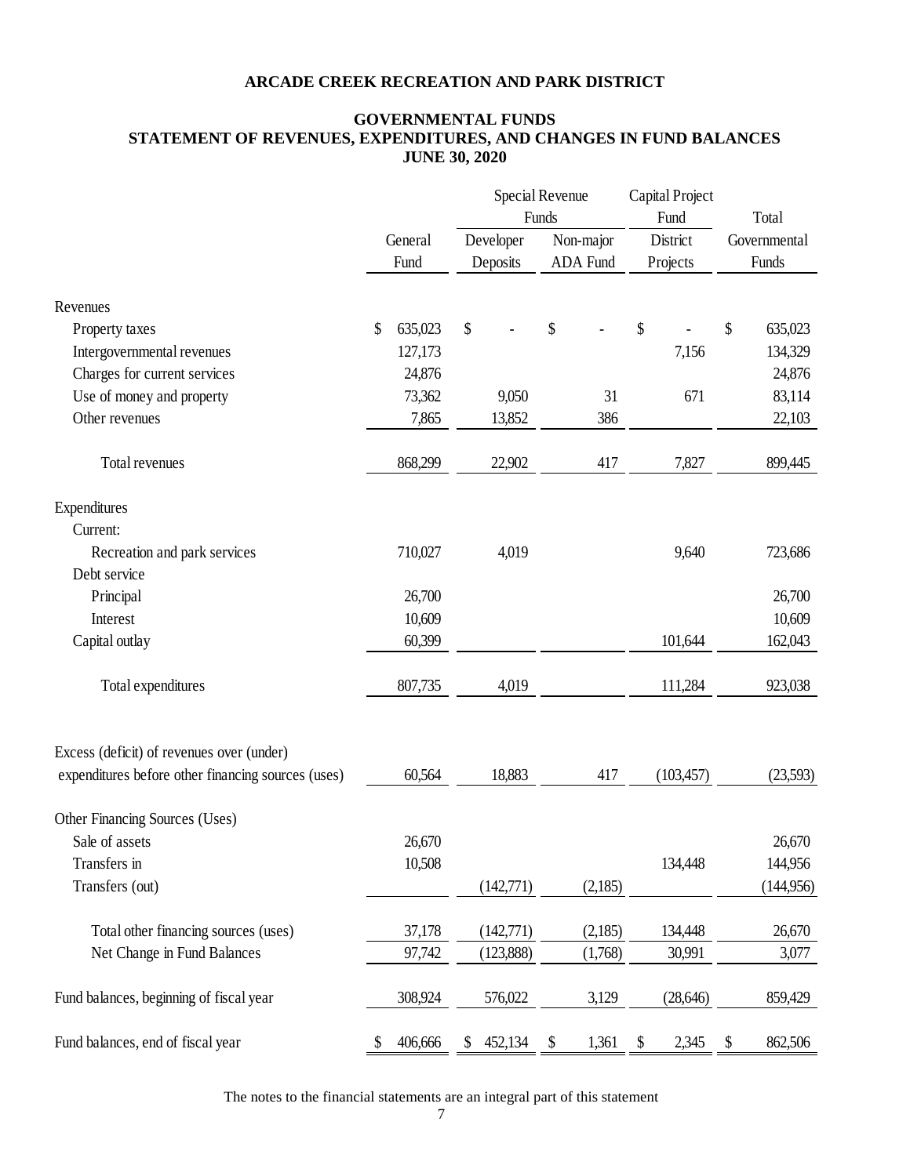# **GOVERNMENTAL FUNDS STATEMENT OF REVENUES, EXPENDITURES, AND CHANGES IN FUND BALANCES JUNE 30, 2020**

|                                                    |    |         |                           | Special Revenue |       |           |                           | Capital Project |                           |              |
|----------------------------------------------------|----|---------|---------------------------|-----------------|-------|-----------|---------------------------|-----------------|---------------------------|--------------|
|                                                    |    |         |                           |                 | Funds |           |                           | Fund            |                           | Total        |
|                                                    |    | General |                           | Developer       |       | Non-major |                           | District        |                           | Governmental |
|                                                    |    | Fund    |                           | Deposits        |       | ADA Fund  |                           | Projects        |                           | Funds        |
| Revenues                                           |    |         |                           |                 |       |           |                           |                 |                           |              |
| Property taxes                                     | \$ | 635,023 | $\boldsymbol{\mathsf{S}}$ |                 | \$    |           | \$                        |                 | \$                        | 635,023      |
| Intergovernmental revenues                         |    | 127,173 |                           |                 |       |           |                           | 7,156           |                           | 134,329      |
| Charges for current services                       |    | 24,876  |                           |                 |       |           |                           |                 |                           | 24,876       |
| Use of money and property                          |    | 73,362  |                           | 9,050           |       | 31        |                           | 671             |                           | 83,114       |
| Other revenues                                     |    | 7,865   |                           | 13,852          |       | 386       |                           |                 |                           | 22,103       |
| Total revenues                                     |    | 868,299 |                           | 22,902          |       | 417       |                           | 7,827           |                           | 899,445      |
| Expenditures                                       |    |         |                           |                 |       |           |                           |                 |                           |              |
| Current:                                           |    |         |                           |                 |       |           |                           |                 |                           |              |
| Recreation and park services                       |    | 710,027 |                           | 4,019           |       |           |                           | 9,640           |                           | 723,686      |
| Debt service                                       |    |         |                           |                 |       |           |                           |                 |                           |              |
| Principal                                          |    | 26,700  |                           |                 |       |           |                           |                 |                           | 26,700       |
| Interest                                           |    | 10,609  |                           |                 |       |           |                           |                 |                           | 10,609       |
| Capital outlay                                     |    | 60,399  |                           |                 |       |           |                           | 101,644         |                           | 162,043      |
| Total expenditures                                 |    | 807,735 |                           | 4,019           |       |           |                           | 111,284         |                           | 923,038      |
| Excess (deficit) of revenues over (under)          |    |         |                           |                 |       |           |                           |                 |                           |              |
| expenditures before other financing sources (uses) |    | 60,564  |                           | 18,883          |       | 417       |                           | (103, 457)      |                           | (23,593)     |
| Other Financing Sources (Uses)                     |    |         |                           |                 |       |           |                           |                 |                           |              |
| Sale of assets                                     |    | 26,670  |                           |                 |       |           |                           |                 |                           | 26,670       |
| Transfers in                                       |    | 10,508  |                           |                 |       |           |                           | 134,448         |                           | 144,956      |
| Transfers (out)                                    |    |         |                           | (142, 771)      |       | (2,185)   |                           |                 |                           | (144, 956)   |
| Total other financing sources (uses)               |    | 37,178  |                           | (142, 771)      |       | (2,185)   |                           | 134,448         |                           | 26,670       |
| Net Change in Fund Balances                        |    | 97,742  |                           | (123, 888)      |       | (1,768)   |                           | 30,991          |                           | 3,077        |
|                                                    |    |         |                           |                 |       |           |                           |                 |                           |              |
| Fund balances, beginning of fiscal year            |    | 308,924 |                           | 576,022         |       | 3,129     |                           | (28, 646)       |                           | 859,429      |
| Fund balances, end of fiscal year                  | \$ | 406,666 | \$                        | 452,134         | \$    | 1,361     | $\boldsymbol{\mathsf{S}}$ | 2,345           | $\boldsymbol{\mathsf{S}}$ | 862,506      |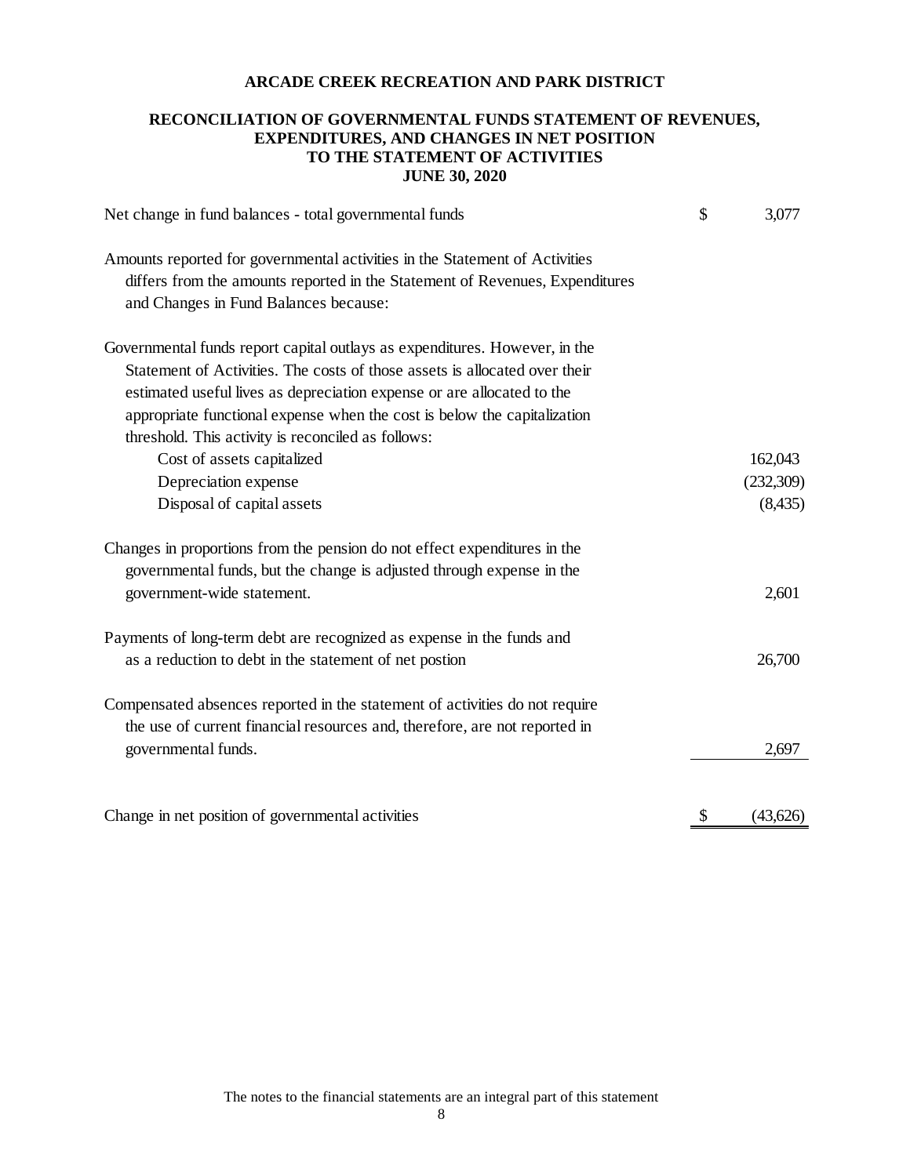# **RECONCILIATION OF GOVERNMENTAL FUNDS STATEMENT OF REVENUES, EXPENDITURES, AND CHANGES IN NET POSITION TO THE STATEMENT OF ACTIVITIES JUNE 30, 2020**

| Net change in fund balances - total governmental funds                                                                                                                                                                                                                                                                                                               | \$<br>3,077    |
|----------------------------------------------------------------------------------------------------------------------------------------------------------------------------------------------------------------------------------------------------------------------------------------------------------------------------------------------------------------------|----------------|
| Amounts reported for governmental activities in the Statement of Activities<br>differs from the amounts reported in the Statement of Revenues, Expenditures<br>and Changes in Fund Balances because:                                                                                                                                                                 |                |
| Governmental funds report capital outlays as expenditures. However, in the<br>Statement of Activities. The costs of those assets is allocated over their<br>estimated useful lives as depreciation expense or are allocated to the<br>appropriate functional expense when the cost is below the capitalization<br>threshold. This activity is reconciled as follows: |                |
| Cost of assets capitalized                                                                                                                                                                                                                                                                                                                                           | 162,043        |
| Depreciation expense                                                                                                                                                                                                                                                                                                                                                 | (232,309)      |
| Disposal of capital assets                                                                                                                                                                                                                                                                                                                                           | (8, 435)       |
| Changes in proportions from the pension do not effect expenditures in the                                                                                                                                                                                                                                                                                            |                |
| governmental funds, but the change is adjusted through expense in the                                                                                                                                                                                                                                                                                                |                |
| government-wide statement.                                                                                                                                                                                                                                                                                                                                           | 2,601          |
| Payments of long-term debt are recognized as expense in the funds and                                                                                                                                                                                                                                                                                                |                |
| as a reduction to debt in the statement of net postion                                                                                                                                                                                                                                                                                                               | 26,700         |
| Compensated absences reported in the statement of activities do not require                                                                                                                                                                                                                                                                                          |                |
| the use of current financial resources and, therefore, are not reported in<br>governmental funds.                                                                                                                                                                                                                                                                    | 2,697          |
| Change in net position of governmental activities                                                                                                                                                                                                                                                                                                                    | \$<br>(43,626) |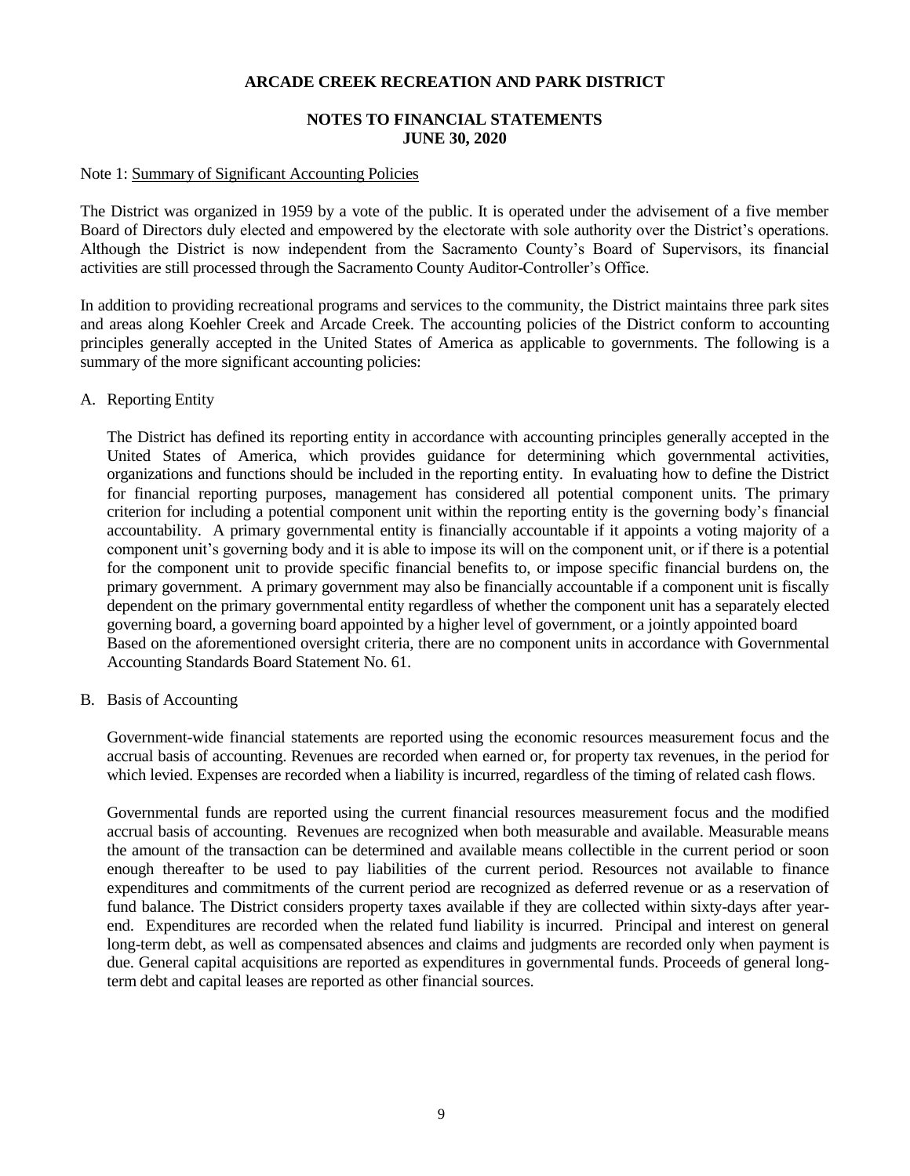## **NOTES TO FINANCIAL STATEMENTS JUNE 30, 2020**

#### Note 1: Summary of Significant Accounting Policies

The District was organized in 1959 by a vote of the public. It is operated under the advisement of a five member Board of Directors duly elected and empowered by the electorate with sole authority over the District's operations. Although the District is now independent from the Sacramento County's Board of Supervisors, its financial activities are still processed through the Sacramento County Auditor-Controller's Office.

In addition to providing recreational programs and services to the community, the District maintains three park sites and areas along Koehler Creek and Arcade Creek. The accounting policies of the District conform to accounting principles generally accepted in the United States of America as applicable to governments. The following is a summary of the more significant accounting policies:

## A. Reporting Entity

The District has defined its reporting entity in accordance with accounting principles generally accepted in the United States of America, which provides guidance for determining which governmental activities, organizations and functions should be included in the reporting entity. In evaluating how to define the District for financial reporting purposes, management has considered all potential component units. The primary criterion for including a potential component unit within the reporting entity is the governing body's financial accountability. A primary governmental entity is financially accountable if it appoints a voting majority of a component unit's governing body and it is able to impose its will on the component unit, or if there is a potential for the component unit to provide specific financial benefits to, or impose specific financial burdens on, the primary government. A primary government may also be financially accountable if a component unit is fiscally dependent on the primary governmental entity regardless of whether the component unit has a separately elected governing board, a governing board appointed by a higher level of government, or a jointly appointed board Based on the aforementioned oversight criteria, there are no component units in accordance with Governmental Accounting Standards Board Statement No. 61.

#### B. Basis of Accounting

Government-wide financial statements are reported using the economic resources measurement focus and the accrual basis of accounting. Revenues are recorded when earned or, for property tax revenues, in the period for which levied. Expenses are recorded when a liability is incurred, regardless of the timing of related cash flows.

Governmental funds are reported using the current financial resources measurement focus and the modified accrual basis of accounting. Revenues are recognized when both measurable and available. Measurable means the amount of the transaction can be determined and available means collectible in the current period or soon enough thereafter to be used to pay liabilities of the current period. Resources not available to finance expenditures and commitments of the current period are recognized as deferred revenue or as a reservation of fund balance. The District considers property taxes available if they are collected within sixty-days after yearend. Expenditures are recorded when the related fund liability is incurred. Principal and interest on general long-term debt, as well as compensated absences and claims and judgments are recorded only when payment is due. General capital acquisitions are reported as expenditures in governmental funds. Proceeds of general longterm debt and capital leases are reported as other financial sources.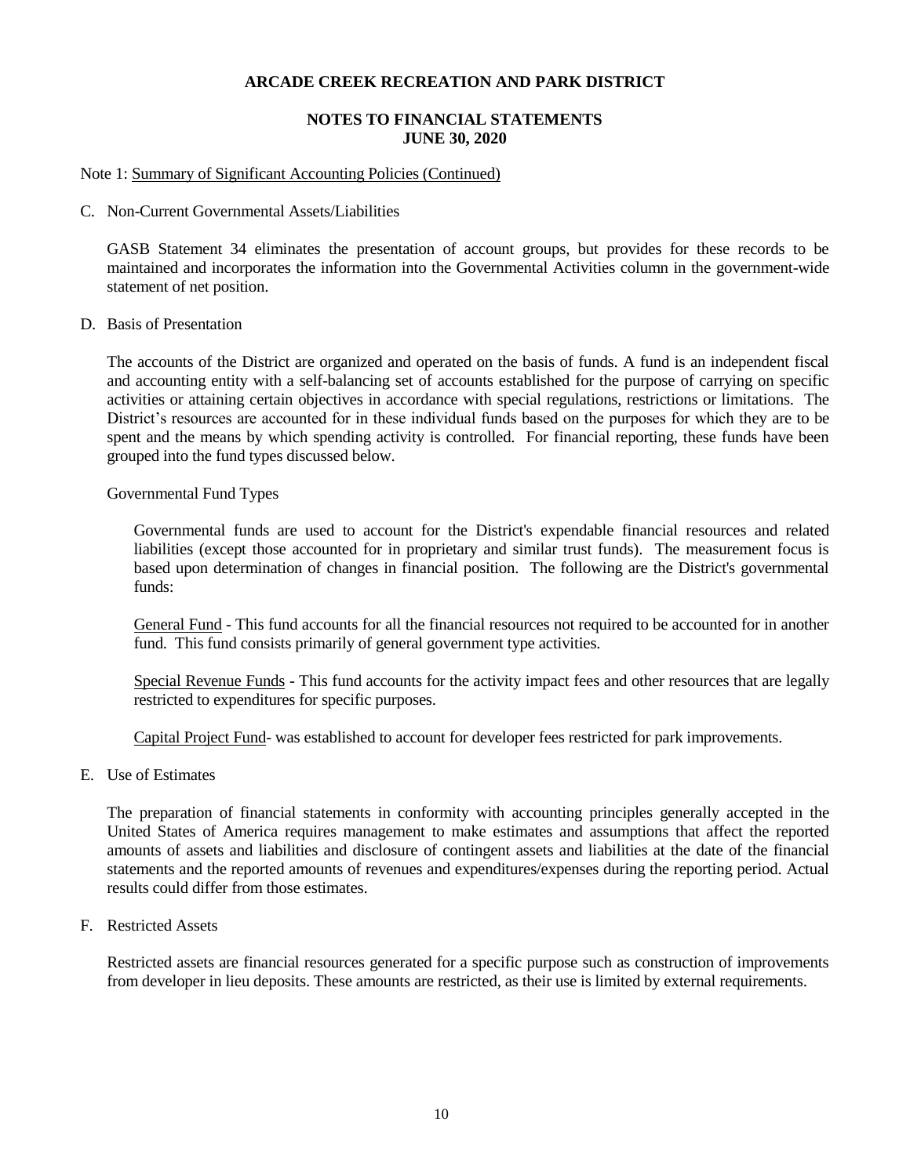# **NOTES TO FINANCIAL STATEMENTS JUNE 30, 2020**

#### Note 1: Summary of Significant Accounting Policies (Continued)

C. Non-Current Governmental Assets/Liabilities

GASB Statement 34 eliminates the presentation of account groups, but provides for these records to be maintained and incorporates the information into the Governmental Activities column in the government-wide statement of net position.

D. Basis of Presentation

The accounts of the District are organized and operated on the basis of funds. A fund is an independent fiscal and accounting entity with a self-balancing set of accounts established for the purpose of carrying on specific activities or attaining certain objectives in accordance with special regulations, restrictions or limitations. The District's resources are accounted for in these individual funds based on the purposes for which they are to be spent and the means by which spending activity is controlled. For financial reporting, these funds have been grouped into the fund types discussed below.

## Governmental Fund Types

Governmental funds are used to account for the District's expendable financial resources and related liabilities (except those accounted for in proprietary and similar trust funds). The measurement focus is based upon determination of changes in financial position. The following are the District's governmental funds:

General Fund - This fund accounts for all the financial resources not required to be accounted for in another fund. This fund consists primarily of general government type activities.

Special Revenue Funds - This fund accounts for the activity impact fees and other resources that are legally restricted to expenditures for specific purposes.

Capital Project Fund- was established to account for developer fees restricted for park improvements.

E. Use of Estimates

The preparation of financial statements in conformity with accounting principles generally accepted in the United States of America requires management to make estimates and assumptions that affect the reported amounts of assets and liabilities and disclosure of contingent assets and liabilities at the date of the financial statements and the reported amounts of revenues and expenditures/expenses during the reporting period. Actual results could differ from those estimates.

#### F. Restricted Assets

Restricted assets are financial resources generated for a specific purpose such as construction of improvements from developer in lieu deposits. These amounts are restricted, as their use is limited by external requirements.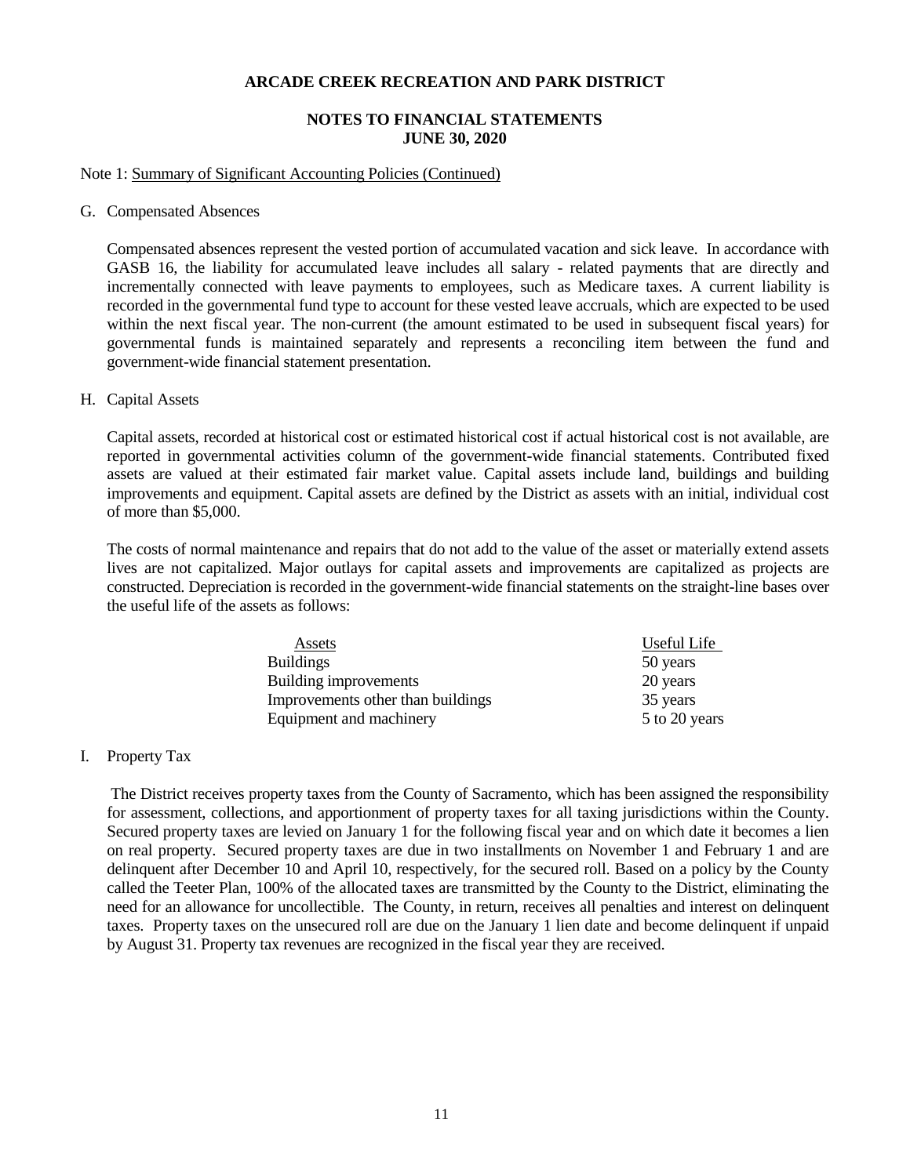## **NOTES TO FINANCIAL STATEMENTS JUNE 30, 2020**

#### Note 1: Summary of Significant Accounting Policies (Continued)

#### G. Compensated Absences

Compensated absences represent the vested portion of accumulated vacation and sick leave. In accordance with GASB 16, the liability for accumulated leave includes all salary - related payments that are directly and incrementally connected with leave payments to employees, such as Medicare taxes. A current liability is recorded in the governmental fund type to account for these vested leave accruals, which are expected to be used within the next fiscal year. The non-current (the amount estimated to be used in subsequent fiscal years) for governmental funds is maintained separately and represents a reconciling item between the fund and government-wide financial statement presentation.

#### H. Capital Assets

Capital assets, recorded at historical cost or estimated historical cost if actual historical cost is not available, are reported in governmental activities column of the government-wide financial statements. Contributed fixed assets are valued at their estimated fair market value. Capital assets include land, buildings and building improvements and equipment. Capital assets are defined by the District as assets with an initial, individual cost of more than \$5,000.

The costs of normal maintenance and repairs that do not add to the value of the asset or materially extend assets lives are not capitalized. Major outlays for capital assets and improvements are capitalized as projects are constructed. Depreciation is recorded in the government-wide financial statements on the straight-line bases over the useful life of the assets as follows:

| Assets                            | Useful Life   |
|-----------------------------------|---------------|
| <b>Buildings</b>                  | 50 years      |
| Building improvements             | 20 years      |
| Improvements other than buildings | 35 years      |
| Equipment and machinery           | 5 to 20 years |

#### I. Property Tax

The District receives property taxes from the County of Sacramento, which has been assigned the responsibility for assessment, collections, and apportionment of property taxes for all taxing jurisdictions within the County. Secured property taxes are levied on January 1 for the following fiscal year and on which date it becomes a lien on real property. Secured property taxes are due in two installments on November 1 and February 1 and are delinquent after December 10 and April 10, respectively, for the secured roll. Based on a policy by the County called the Teeter Plan, 100% of the allocated taxes are transmitted by the County to the District, eliminating the need for an allowance for uncollectible. The County, in return, receives all penalties and interest on delinquent taxes. Property taxes on the unsecured roll are due on the January 1 lien date and become delinquent if unpaid by August 31. Property tax revenues are recognized in the fiscal year they are received.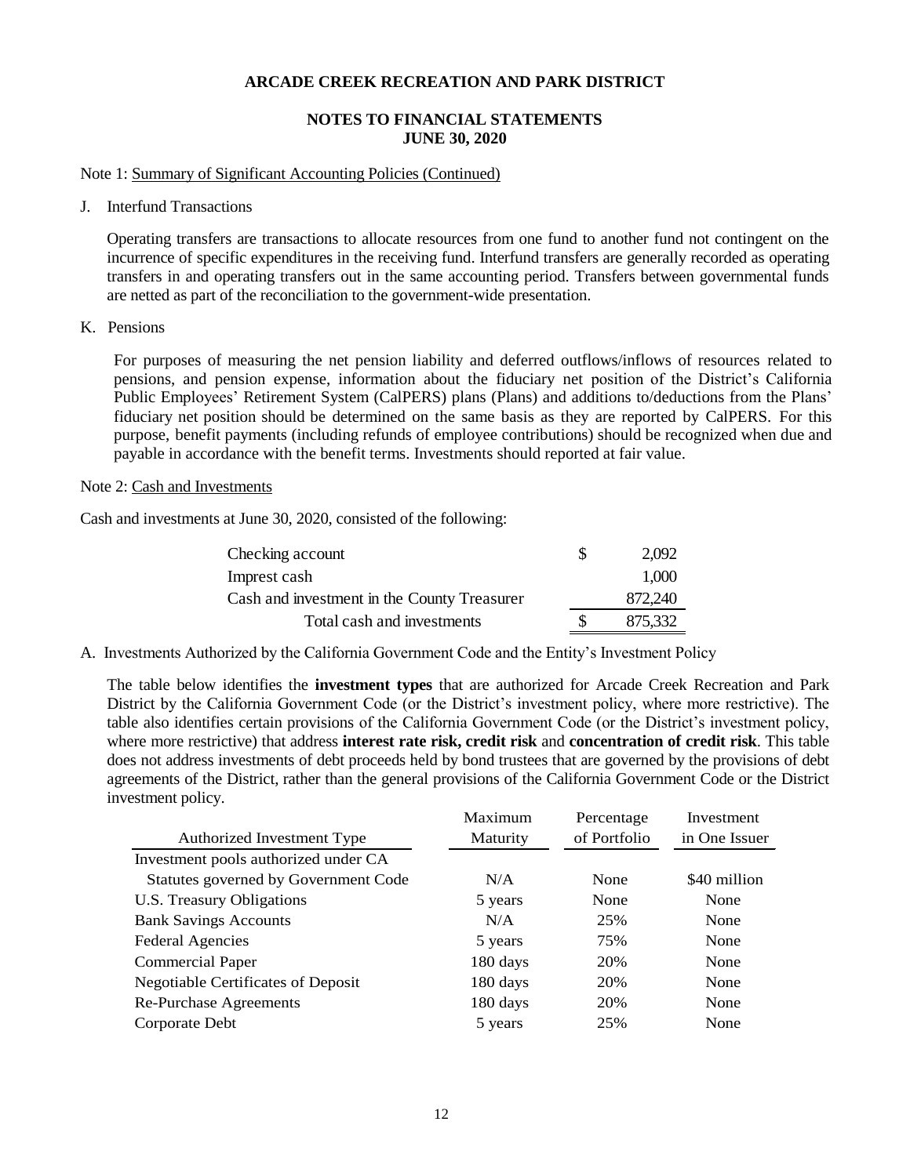## **NOTES TO FINANCIAL STATEMENTS JUNE 30, 2020**

#### Note 1: Summary of Significant Accounting Policies (Continued)

#### J. Interfund Transactions

Operating transfers are transactions to allocate resources from one fund to another fund not contingent on the incurrence of specific expenditures in the receiving fund. Interfund transfers are generally recorded as operating transfers in and operating transfers out in the same accounting period. Transfers between governmental funds are netted as part of the reconciliation to the government-wide presentation.

## K. Pensions

For purposes of measuring the net pension liability and deferred outflows/inflows of resources related to pensions, and pension expense, information about the fiduciary net position of the District's California Public Employees' Retirement System (CalPERS) plans (Plans) and additions to/deductions from the Plans' fiduciary net position should be determined on the same basis as they are reported by CalPERS. For this purpose, benefit payments (including refunds of employee contributions) should be recognized when due and payable in accordance with the benefit terms. Investments should reported at fair value.

#### Note 2: Cash and Investments

Cash and investments at June 30, 2020, consisted of the following:

| Checking account                            | S | 2,092   |
|---------------------------------------------|---|---------|
| Imprest cash                                |   | 1,000   |
| Cash and investment in the County Treasurer |   | 872,240 |
| Total cash and investments                  |   | 875,332 |

A. Investments Authorized by the California Government Code and the Entity's Investment Policy

The table below identifies the **investment types** that are authorized for Arcade Creek Recreation and Park District by the California Government Code (or the District's investment policy, where more restrictive). The table also identifies certain provisions of the California Government Code (or the District's investment policy, where more restrictive) that address **interest rate risk, credit risk** and **concentration of credit risk**. This table does not address investments of debt proceeds held by bond trustees that are governed by the provisions of debt agreements of the District, rather than the general provisions of the California Government Code or the District investment policy.

|                                      | Maximum         | Percentage   | Investment    |
|--------------------------------------|-----------------|--------------|---------------|
| Authorized Investment Type           | <b>Maturity</b> | of Portfolio | in One Issuer |
| Investment pools authorized under CA |                 |              |               |
| Statutes governed by Government Code | N/A             | None         | \$40 million  |
| U.S. Treasury Obligations            | 5 years         | None         | None          |
| <b>Bank Savings Accounts</b>         | N/A             | 25%          | None          |
| <b>Federal Agencies</b>              | 5 years         | 75%          | None          |
| <b>Commercial Paper</b>              | 180 days        | 20%          | None          |
| Negotiable Certificates of Deposit   | 180 days        | 20%          | None          |
| Re-Purchase Agreements               | 180 days        | 20%          | None          |
| Corporate Debt                       | 5 years         | 25%          | None          |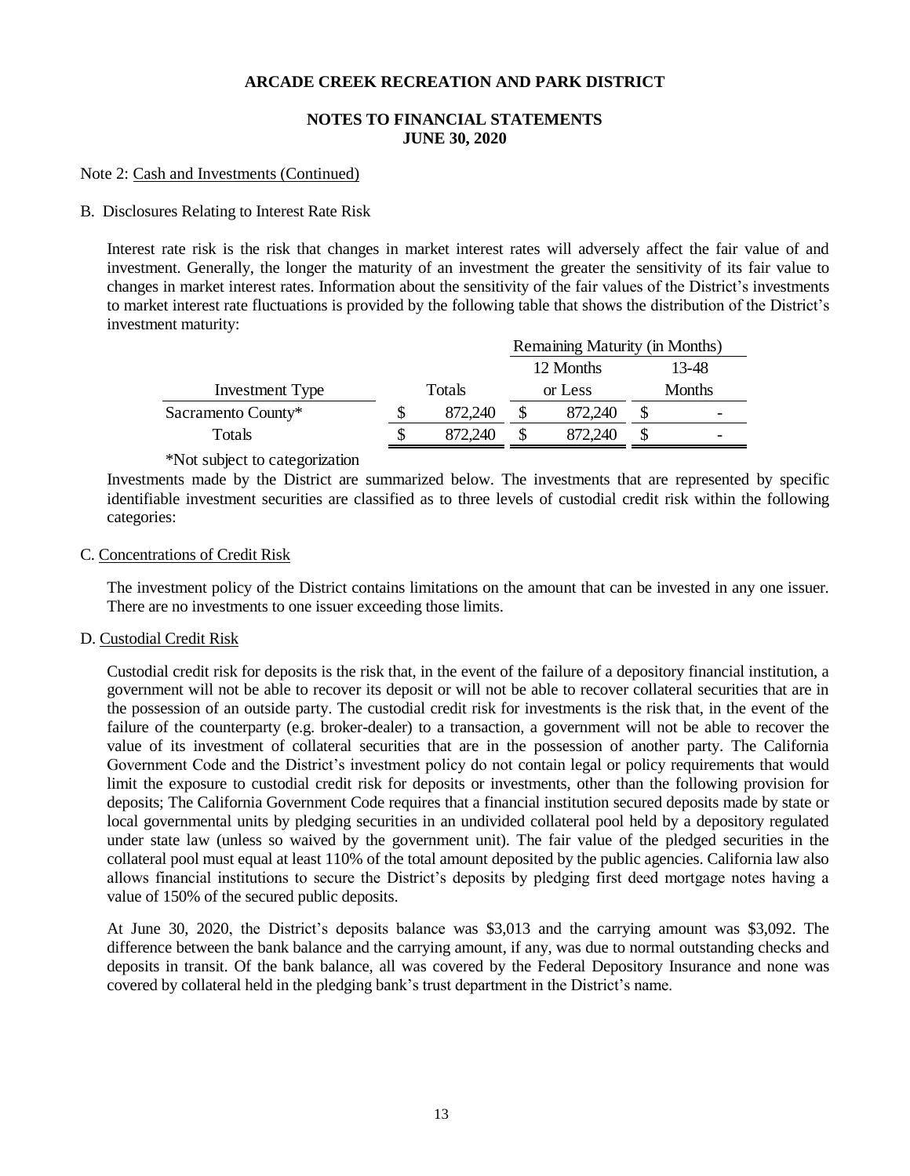#### **NOTES TO FINANCIAL STATEMENTS JUNE 30, 2020**

#### Note 2: Cash and Investments (Continued)

## B. Disclosures Relating to Interest Rate Risk

Interest rate risk is the risk that changes in market interest rates will adversely affect the fair value of and investment. Generally, the longer the maturity of an investment the greater the sensitivity of its fair value to changes in market interest rates. Information about the sensitivity of the fair values of the District's investments to market interest rate fluctuations is provided by the following table that shows the distribution of the District's investment maturity:

|                    |    |         | Remaining Maturity (in Months) |           |  |               |  |
|--------------------|----|---------|--------------------------------|-----------|--|---------------|--|
|                    |    |         |                                | 12 Months |  | 13-48         |  |
| Investment Type    |    | Totals  |                                | or Less   |  | <b>Months</b> |  |
| Sacramento County* |    | 872,240 |                                | 872,240   |  |               |  |
| Totals             | ۰D | 872,240 |                                | 872,240   |  |               |  |
|                    |    |         |                                |           |  |               |  |

\*Not subject to categorization

Investments made by the District are summarized below. The investments that are represented by specific identifiable investment securities are classified as to three levels of custodial credit risk within the following categories:

#### C. Concentrations of Credit Risk

The investment policy of the District contains limitations on the amount that can be invested in any one issuer. There are no investments to one issuer exceeding those limits.

#### D. Custodial Credit Risk

Custodial credit risk for deposits is the risk that, in the event of the failure of a depository financial institution, a government will not be able to recover its deposit or will not be able to recover collateral securities that are in the possession of an outside party. The custodial credit risk for investments is the risk that, in the event of the failure of the counterparty (e.g. broker-dealer) to a transaction, a government will not be able to recover the value of its investment of collateral securities that are in the possession of another party. The California Government Code and the District's investment policy do not contain legal or policy requirements that would limit the exposure to custodial credit risk for deposits or investments, other than the following provision for deposits; The California Government Code requires that a financial institution secured deposits made by state or local governmental units by pledging securities in an undivided collateral pool held by a depository regulated under state law (unless so waived by the government unit). The fair value of the pledged securities in the collateral pool must equal at least 110% of the total amount deposited by the public agencies. California law also allows financial institutions to secure the District's deposits by pledging first deed mortgage notes having a value of 150% of the secured public deposits.

At June 30, 2020, the District's deposits balance was \$3,013 and the carrying amount was \$3,092. The difference between the bank balance and the carrying amount, if any, was due to normal outstanding checks and deposits in transit. Of the bank balance, all was covered by the Federal Depository Insurance and none was covered by collateral held in the pledging bank's trust department in the District's name.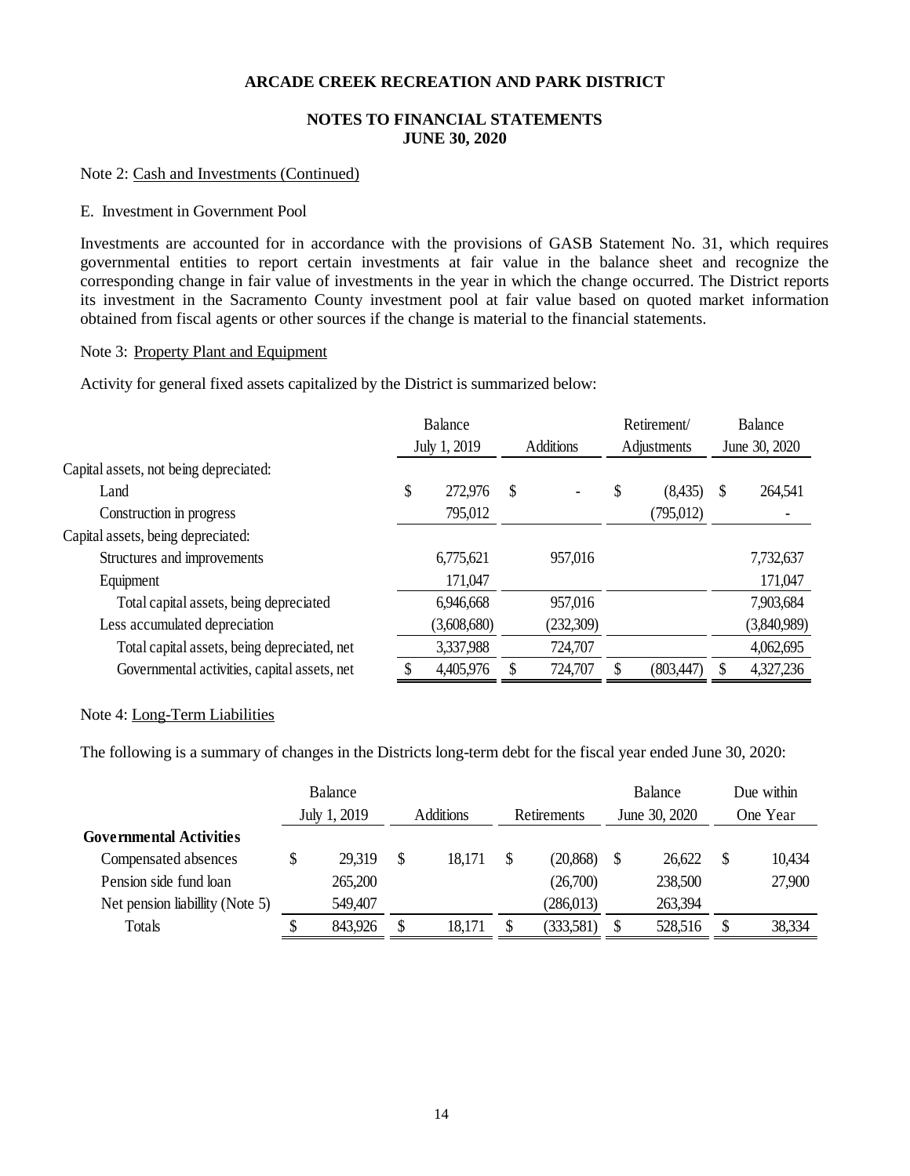## **NOTES TO FINANCIAL STATEMENTS JUNE 30, 2020**

#### Note 2: Cash and Investments (Continued)

#### E. Investment in Government Pool

Investments are accounted for in accordance with the provisions of GASB Statement No. 31, which requires governmental entities to report certain investments at fair value in the balance sheet and recognize the corresponding change in fair value of investments in the year in which the change occurred. The District reports its investment in the Sacramento County investment pool at fair value based on quoted market information obtained from fiscal agents or other sources if the change is material to the financial statements.

#### Note 3: Property Plant and Equipment

Activity for general fixed assets capitalized by the District is summarized below:

|                                              | Balance |              |    |                  | Retirement/ |            | Balance       |             |
|----------------------------------------------|---------|--------------|----|------------------|-------------|------------|---------------|-------------|
|                                              |         | July 1, 2019 |    | <b>Additions</b> | Adjustments |            | June 30, 2020 |             |
| Capital assets, not being depreciated:       |         |              |    |                  |             |            |               |             |
| Land                                         | \$      | 272,976      | \$ |                  | S           | (8, 435)   | <sup>\$</sup> | 264,541     |
| Construction in progress                     |         | 795,012      |    |                  |             | (795, 012) |               |             |
| Capital assets, being depreciated:           |         |              |    |                  |             |            |               |             |
| Structures and improvements                  |         | 6,775,621    |    | 957,016          |             |            |               | 7,732,637   |
| Equipment                                    |         | 171,047      |    |                  |             |            |               | 171,047     |
| Total capital assets, being depreciated      |         | 6,946,668    |    | 957,016          |             |            |               | 7,903,684   |
| Less accumulated depreciation                |         | (3,608,680)  |    | (232,309)        |             |            |               | (3,840,989) |
| Total capital assets, being depreciated, net |         | 3,337,988    |    | 724,707          |             |            |               | 4,062,695   |
| Governmental activities, capital assets, net |         | 4,405,976    |    | 724,707          |             | (803, 447) |               | 4,327,236   |

#### Note 4: Long-Term Liabilities

The following is a summary of changes in the Districts long-term debt for the fiscal year ended June 30, 2020:

|                                | Balance<br>July 1, 2019 | <b>Additions</b> |        | Retirements |            | Balance<br>June 30, 2020 |         | Due within<br>One Year |        |
|--------------------------------|-------------------------|------------------|--------|-------------|------------|--------------------------|---------|------------------------|--------|
| <b>Governmental Activities</b> |                         |                  |        |             |            |                          |         |                        |        |
| Compensated absences           | 29.319                  | <sup>\$</sup>    | 18.171 |             | (20, 868)  | S                        | 26,622  | S                      | 10,434 |
| Pension side fund loan         | 265,200                 |                  |        |             | (26,700)   |                          | 238,500 |                        | 27,900 |
| Net pension liability (Note 5) | 549,407                 |                  |        |             | (286, 013) |                          | 263,394 |                        |        |
| Totals                         | 843,926                 | S                | 18,171 |             | (333,581)  | S                        | 528,516 |                        | 38,334 |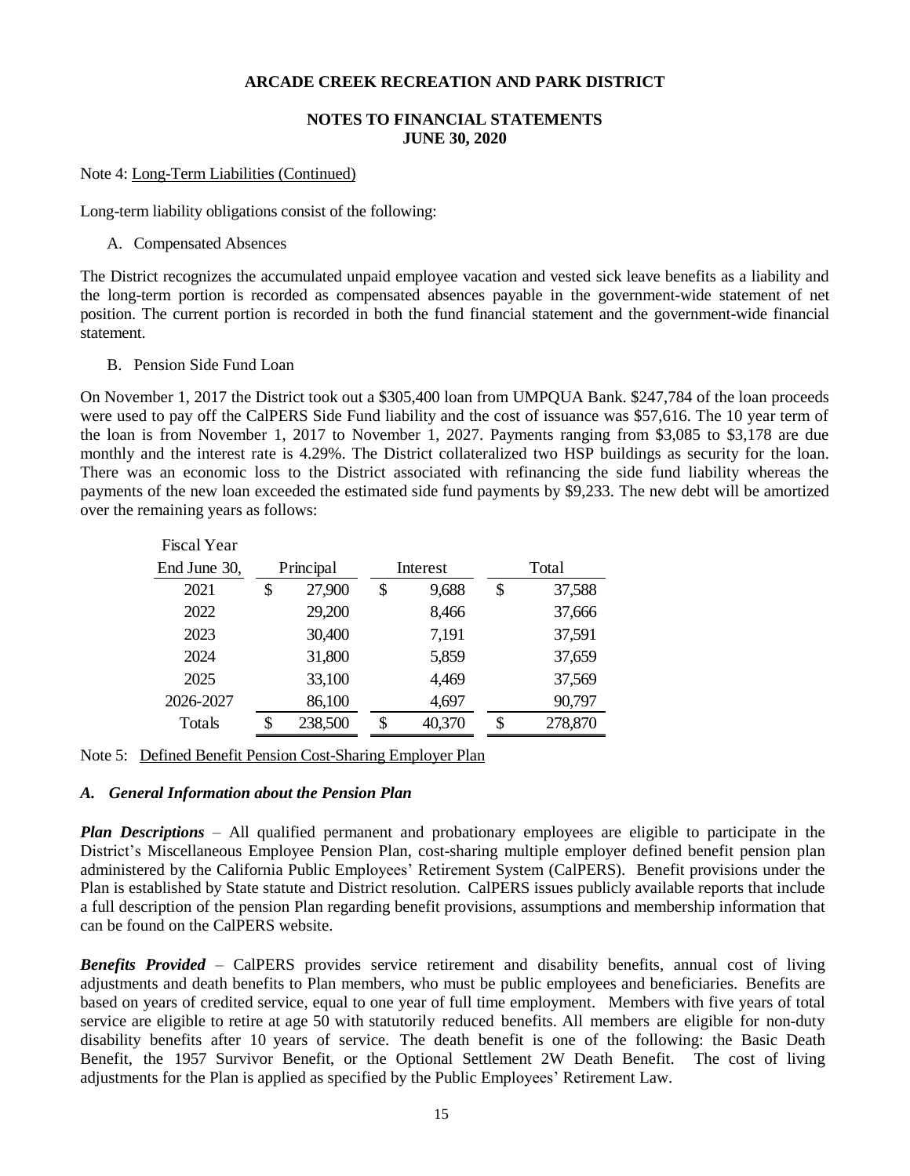## **NOTES TO FINANCIAL STATEMENTS JUNE 30, 2020**

#### Note 4: Long-Term Liabilities (Continued)

Long-term liability obligations consist of the following:

A. Compensated Absences

The District recognizes the accumulated unpaid employee vacation and vested sick leave benefits as a liability and the long-term portion is recorded as compensated absences payable in the government-wide statement of net position. The current portion is recorded in both the fund financial statement and the government-wide financial statement.

B. Pension Side Fund Loan

On November 1, 2017 the District took out a \$305,400 loan from UMPQUA Bank. \$247,784 of the loan proceeds were used to pay off the CalPERS Side Fund liability and the cost of issuance was \$57,616. The 10 year term of the loan is from November 1, 2017 to November 1, 2027. Payments ranging from \$3,085 to \$3,178 are due monthly and the interest rate is 4.29%. The District collateralized two HSP buildings as security for the loan. There was an economic loss to the District associated with refinancing the side fund liability whereas the payments of the new loan exceeded the estimated side fund payments by \$9,233. The new debt will be amortized over the remaining years as follows:

| Fiscal Year  |               |              |               |
|--------------|---------------|--------------|---------------|
| End June 30, | Principal     | Interest     | Total         |
| 2021         | \$<br>27,900  | \$<br>9,688  | \$<br>37,588  |
| 2022         | 29,200        | 8,466        | 37,666        |
| 2023         | 30,400        | 7,191        | 37,591        |
| 2024         | 31,800        | 5,859        | 37,659        |
| 2025         | 33,100        | 4,469        | 37,569        |
| 2026-2027    | 86,100        | 4,697        | 90,797        |
| Totals       | \$<br>238,500 | \$<br>40,370 | \$<br>278,870 |

|  |  | Note 5: Defined Benefit Pension Cost-Sharing Employer Plan |  |  |  |  |  |  |  |  |  |  |
|--|--|------------------------------------------------------------|--|--|--|--|--|--|--|--|--|--|
|--|--|------------------------------------------------------------|--|--|--|--|--|--|--|--|--|--|

#### *A. General Information about the Pension Plan*

*Plan Descriptions* – All qualified permanent and probationary employees are eligible to participate in the District's Miscellaneous Employee Pension Plan, cost-sharing multiple employer defined benefit pension plan administered by the California Public Employees' Retirement System (CalPERS). Benefit provisions under the Plan is established by State statute and District resolution. CalPERS issues publicly available reports that include a full description of the pension Plan regarding benefit provisions, assumptions and membership information that can be found on the CalPERS website.

*Benefits Provided* – CalPERS provides service retirement and disability benefits, annual cost of living adjustments and death benefits to Plan members, who must be public employees and beneficiaries. Benefits are based on years of credited service, equal to one year of full time employment. Members with five years of total service are eligible to retire at age 50 with statutorily reduced benefits. All members are eligible for non-duty disability benefits after 10 years of service. The death benefit is one of the following: the Basic Death Benefit, the 1957 Survivor Benefit, or the Optional Settlement 2W Death Benefit. The cost of living adjustments for the Plan is applied as specified by the Public Employees' Retirement Law.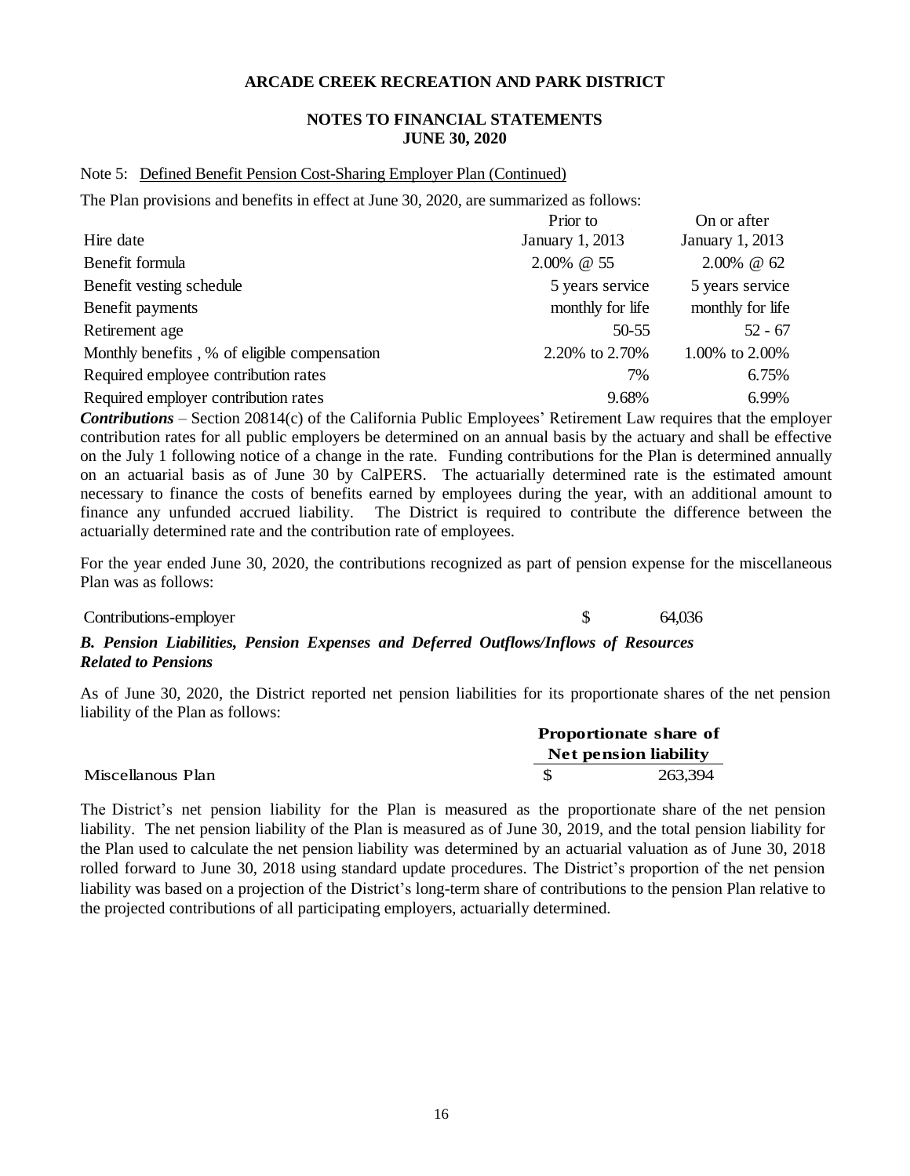## **NOTES TO FINANCIAL STATEMENTS JUNE 30, 2020**

#### Note 5: Defined Benefit Pension Cost-Sharing Employer Plan (Continued)

The Plan provisions and benefits in effect at June 30, 2020, are summarized as follows:

|                                              | Prior to         | On or after      |
|----------------------------------------------|------------------|------------------|
| Hire date                                    | January 1, 2013  | January 1, 2013  |
| Benefit formula                              | 2.00% @ 55       | $2.00\%$ @ 62    |
| Benefit vesting schedule                     | 5 years service  | 5 years service  |
| Benefit payments                             | monthly for life | monthly for life |
| Retirement age                               | 50-55            | $52 - 67$        |
| Monthly benefits, % of eligible compensation | 2.20% to 2.70%   | 1.00% to 2.00%   |
| Required employee contribution rates         | 7%               | 6.75%            |
| Required employer contribution rates         | 9.68%            | 6.99%            |

*Contributions* – Section 20814(c) of the California Public Employees' Retirement Law requires that the employer contribution rates for all public employers be determined on an annual basis by the actuary and shall be effective on the July 1 following notice of a change in the rate. Funding contributions for the Plan is determined annually on an actuarial basis as of June 30 by CalPERS. The actuarially determined rate is the estimated amount necessary to finance the costs of benefits earned by employees during the year, with an additional amount to finance any unfunded accrued liability. The District is required to contribute the difference between the actuarially determined rate and the contribution rate of employees.

For the year ended June 30, 2020, the contributions recognized as part of pension expense for the miscellaneous Plan was as follows:

#### Contributions-employer \$ 64,036

*B. Pension Liabilities, Pension Expenses and Deferred Outflows/Inflows of Resources Related to Pensions*

As of June 30, 2020, the District reported net pension liabilities for its proportionate shares of the net pension liability of the Plan as follows:

|                   | <b>Proportionate share of</b> |
|-------------------|-------------------------------|
|                   | <b>Net pension liability</b>  |
| Miscellanous Plan | 263.394                       |

The District's net pension liability for the Plan is measured as the proportionate share of the net pension liability. The net pension liability of the Plan is measured as of June 30, 2019, and the total pension liability for the Plan used to calculate the net pension liability was determined by an actuarial valuation as of June 30, 2018 rolled forward to June 30, 2018 using standard update procedures. The District's proportion of the net pension liability was based on a projection of the District's long-term share of contributions to the pension Plan relative to the projected contributions of all participating employers, actuarially determined.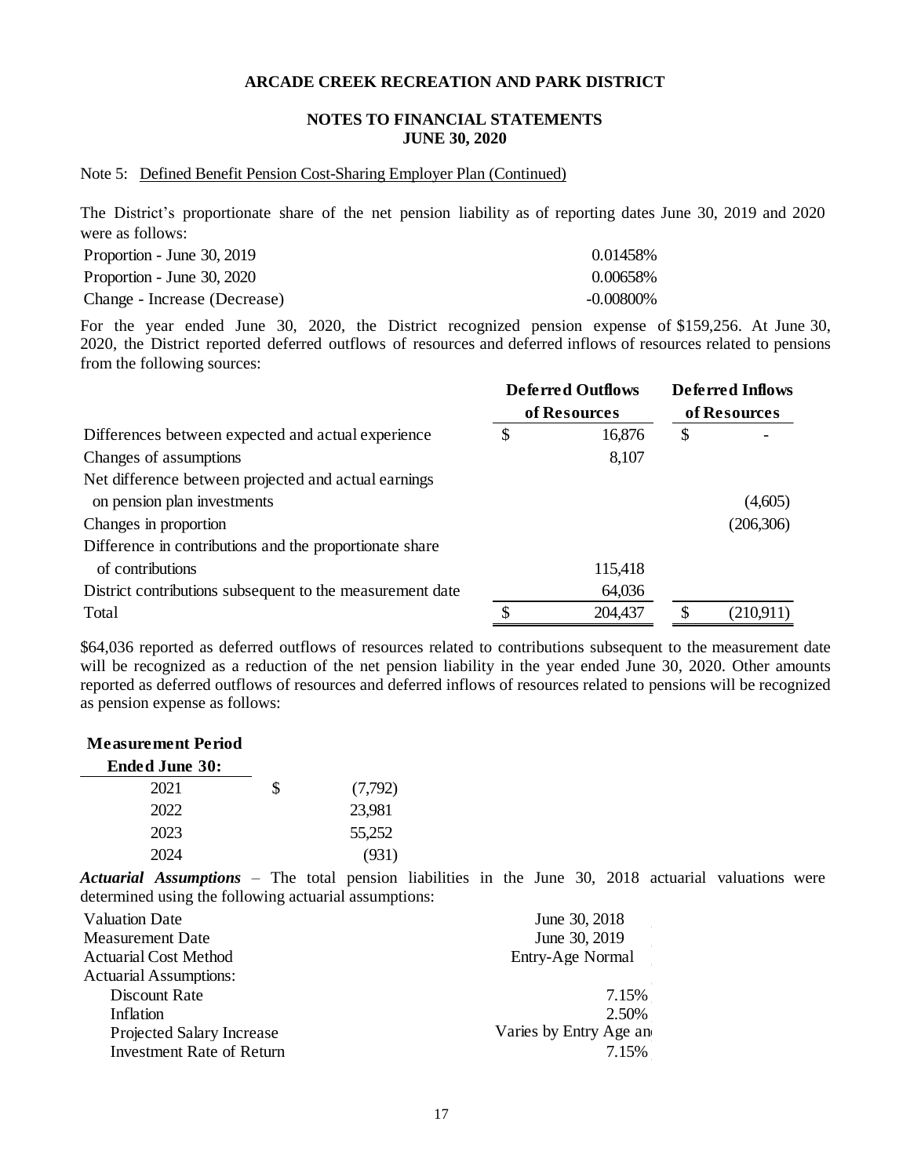#### **NOTES TO FINANCIAL STATEMENTS JUNE 30, 2020**

#### Note 5: Defined Benefit Pension Cost-Sharing Employer Plan (Continued)

The District's proportionate share of the net pension liability as of reporting dates June 30, 2019 and 2020 were as follows:

| Proportion - June 30, 2019   | 0.01458%     |
|------------------------------|--------------|
| Proportion - June 30, 2020   | 0.00658%     |
| Change - Increase (Decrease) | $-0.00800\%$ |

For the year ended June 30, 2020, the District recognized pension expense of \$159,256. At June 30, 2020, the District reported deferred outflows of resources and deferred inflows of resources related to pensions from the following sources:

|                                                           | <b>Deferred Outflows</b> |              | <b>Deferred Inflows</b> |            |  |
|-----------------------------------------------------------|--------------------------|--------------|-------------------------|------------|--|
|                                                           |                          | of Resources | of Resources            |            |  |
| Differences between expected and actual experience        | \$                       | 16,876       | \$                      |            |  |
| Changes of assumptions                                    |                          | 8,107        |                         |            |  |
| Net difference between projected and actual earnings      |                          |              |                         |            |  |
| on pension plan investments                               |                          |              |                         | (4,605)    |  |
| Changes in proportion                                     |                          |              |                         | (206, 306) |  |
| Difference in contributions and the proportionate share   |                          |              |                         |            |  |
| of contributions                                          |                          | 115,418      |                         |            |  |
| District contributions subsequent to the measurement date |                          | 64,036       |                         |            |  |
| Total                                                     | \$                       | 204,437      |                         | (210,911)  |  |

\$64,036 reported as deferred outflows of resources related to contributions subsequent to the measurement date will be recognized as a reduction of the net pension liability in the year ended June 30, 2020. Other amounts reported as deferred outflows of resources and deferred inflows of resources related to pensions will be recognized as pension expense as follows:

#### **Measurement Period Ended June 30:**

| Linuvu ounv Jv. |   |         |
|-----------------|---|---------|
| 2021            | S | (7,792) |
| 2022            |   | 23,981  |
| 2023            |   | 55,252  |
| 2024            |   | (931)   |

*Actuarial Assumptions* – The total pension liabilities in the June 30, 2018 actuarial valuations were determined using the following actuarial assumptions:

| Valuation Date                   | June 30, 2018           |
|----------------------------------|-------------------------|
| Measurement Date                 | June 30, 2019           |
| <b>Actuarial Cost Method</b>     | Entry-Age Normal        |
| <b>Actuarial Assumptions:</b>    |                         |
| Discount Rate                    | 7.15%                   |
| <b>Inflation</b>                 | 2.50%                   |
| <b>Projected Salary Increase</b> | Varies by Entry Age and |
| <b>Investment Rate of Return</b> | 7.15%                   |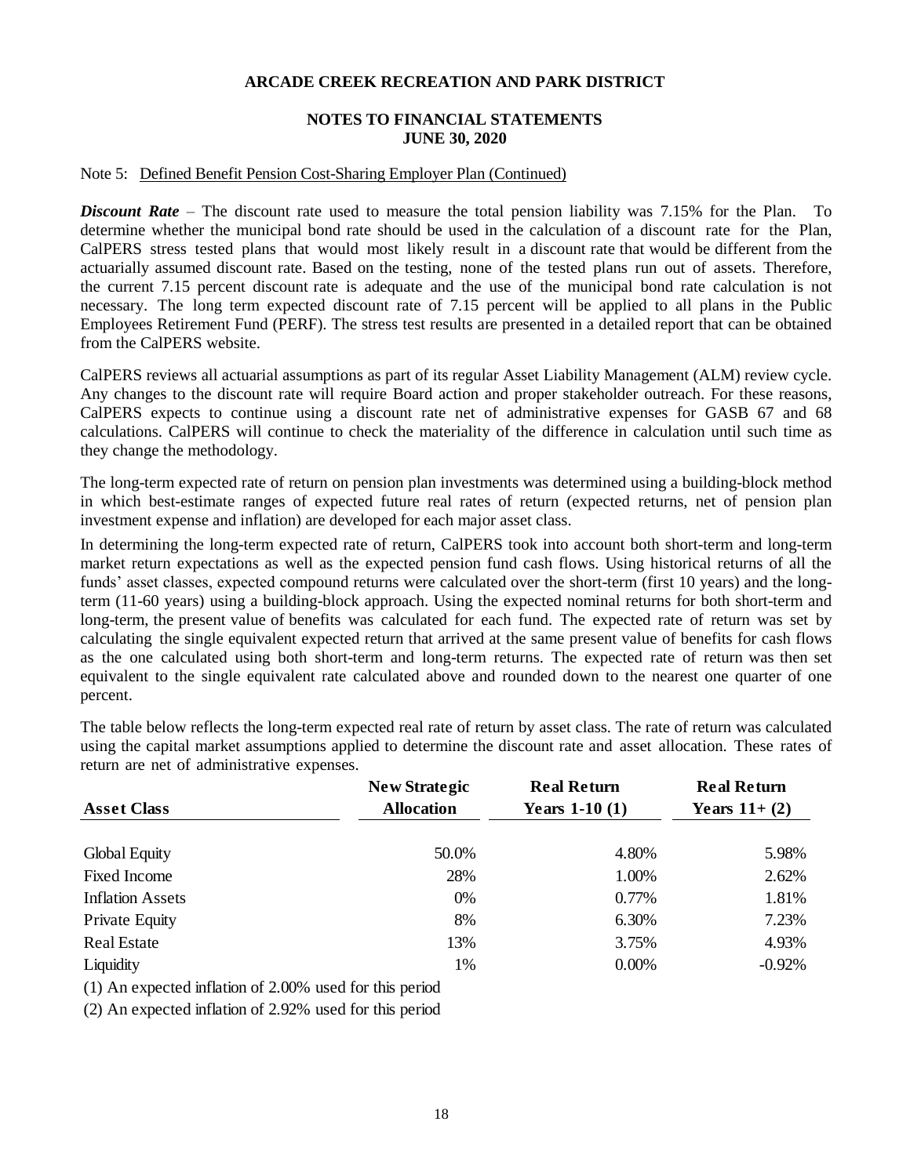## **NOTES TO FINANCIAL STATEMENTS JUNE 30, 2020**

#### Note 5: Defined Benefit Pension Cost-Sharing Employer Plan (Continued)

*Discount Rate* – The discount rate used to measure the total pension liability was 7.15% for the Plan. To determine whether the municipal bond rate should be used in the calculation of a discount rate for the Plan, CalPERS stress tested plans that would most likely result in a discount rate that would be different from the actuarially assumed discount rate. Based on the testing, none of the tested plans run out of assets. Therefore, the current 7.15 percent discount rate is adequate and the use of the municipal bond rate calculation is not necessary. The long term expected discount rate of 7.15 percent will be applied to all plans in the Public Employees Retirement Fund (PERF). The stress test results are presented in a detailed report that can be obtained from the CalPERS website.

CalPERS reviews all actuarial assumptions as part of its regular Asset Liability Management (ALM) review cycle. Any changes to the discount rate will require Board action and proper stakeholder outreach. For these reasons, CalPERS expects to continue using a discount rate net of administrative expenses for GASB 67 and 68 calculations. CalPERS will continue to check the materiality of the difference in calculation until such time as they change the methodology.

The long-term expected rate of return on pension plan investments was determined using a building-block method in which best-estimate ranges of expected future real rates of return (expected returns, net of pension plan investment expense and inflation) are developed for each major asset class.

In determining the long-term expected rate of return, CalPERS took into account both short-term and long-term market return expectations as well as the expected pension fund cash flows. Using historical returns of all the funds' asset classes, expected compound returns were calculated over the short-term (first 10 years) and the longterm (11-60 years) using a building-block approach. Using the expected nominal returns for both short-term and long-term, the present value of benefits was calculated for each fund. The expected rate of return was set by calculating the single equivalent expected return that arrived at the same present value of benefits for cash flows as the one calculated using both short-term and long-term returns. The expected rate of return was then set equivalent to the single equivalent rate calculated above and rounded down to the nearest one quarter of one percent.

The table below reflects the long-term expected real rate of return by asset class. The rate of return was calculated using the capital market assumptions applied to determine the discount rate and asset allocation. These rates of return are net of administrative expenses.

|                                                         | New Strategic     | <b>Real Return</b> | <b>Real Return</b> |
|---------------------------------------------------------|-------------------|--------------------|--------------------|
| <b>Asset Class</b>                                      | <b>Allocation</b> | Years $1-10(1)$    | Years $11+(2)$     |
| Global Equity                                           | 50.0%             | 4.80%              | 5.98%              |
| Fixed Income                                            | 28%               | 1.00%              | 2.62%              |
| <b>Inflation Assets</b>                                 | $0\%$             | 0.77%              | 1.81%              |
| Private Equity                                          | 8%                | 6.30%              | 7.23%              |
| <b>Real Estate</b>                                      | 13%               | 3.75%              | 4.93%              |
| Liquidity                                               | 1%                | $0.00\%$           | $-0.92%$           |
| (1) An expected inflation of 2.00% used for this period |                   |                    |                    |

(2) An expected inflation of 2.92% used for this period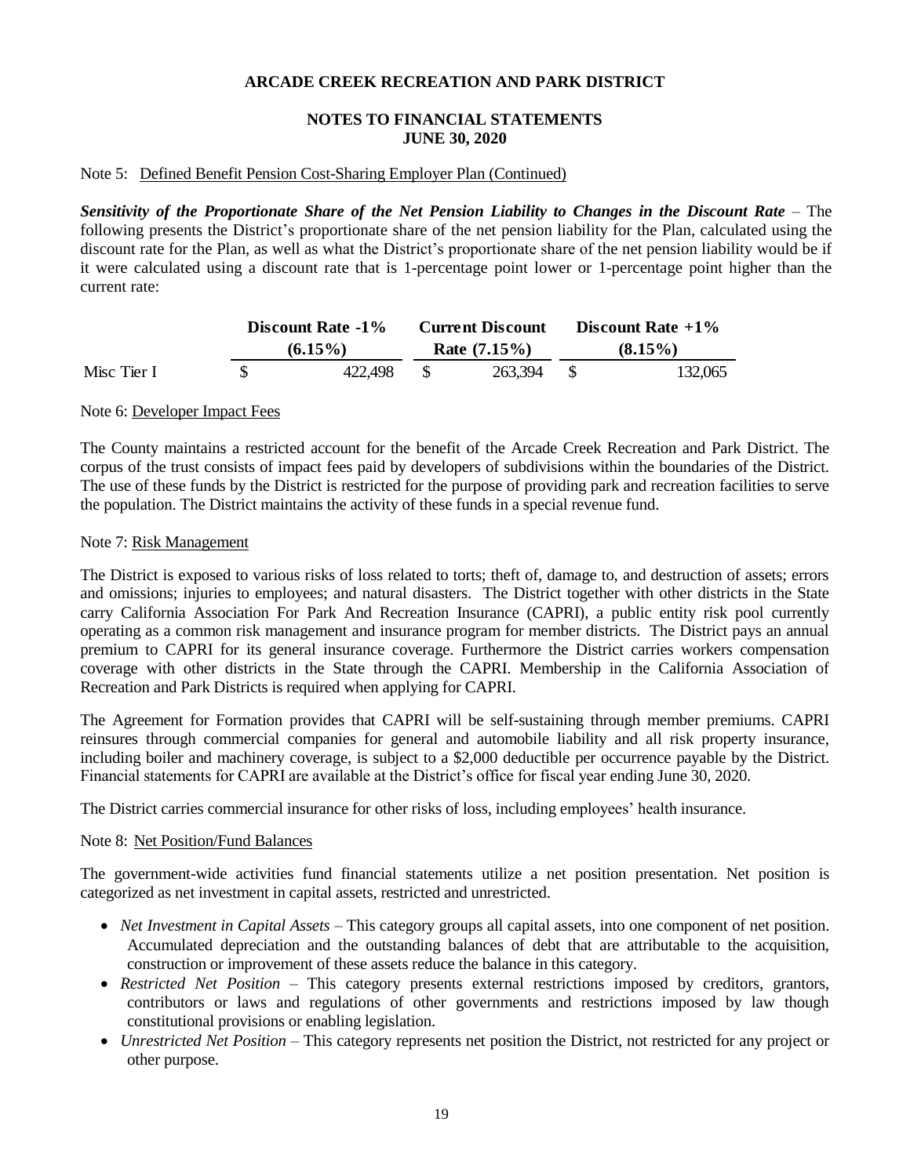## **NOTES TO FINANCIAL STATEMENTS JUNE 30, 2020**

#### Note 5: Defined Benefit Pension Cost-Sharing Employer Plan (Continued)

*Sensitivity of the Proportionate Share of the Net Pension Liability to Changes in the Discount Rate* – The following presents the District's proportionate share of the net pension liability for the Plan, calculated using the discount rate for the Plan, as well as what the District's proportionate share of the net pension liability would be if it were calculated using a discount rate that is 1-percentage point lower or 1-percentage point higher than the current rate:

|             | Discount Rate -1% |  | <b>Current Discount</b> | Discount Rate $+1\%$ |         |  |
|-------------|-------------------|--|-------------------------|----------------------|---------|--|
|             | $(6.15\%)$        |  | Rate $(7.15\%)$         | $(8.15\%)$           |         |  |
| Misc Tier I | 422,498           |  | 263,394                 |                      | 132,065 |  |

Note 6: Developer Impact Fees

The County maintains a restricted account for the benefit of the Arcade Creek Recreation and Park District. The corpus of the trust consists of impact fees paid by developers of subdivisions within the boundaries of the District. The use of these funds by the District is restricted for the purpose of providing park and recreation facilities to serve the population. The District maintains the activity of these funds in a special revenue fund.

#### Note 7: Risk Management

The District is exposed to various risks of loss related to torts; theft of, damage to, and destruction of assets; errors and omissions; injuries to employees; and natural disasters. The District together with other districts in the State carry California Association For Park And Recreation Insurance (CAPRI), a public entity risk pool currently operating as a common risk management and insurance program for member districts. The District pays an annual premium to CAPRI for its general insurance coverage. Furthermore the District carries workers compensation coverage with other districts in the State through the CAPRI. Membership in the California Association of Recreation and Park Districts is required when applying for CAPRI.

The Agreement for Formation provides that CAPRI will be self-sustaining through member premiums. CAPRI reinsures through commercial companies for general and automobile liability and all risk property insurance, including boiler and machinery coverage, is subject to a \$2,000 deductible per occurrence payable by the District. Financial statements for CAPRI are available at the District's office for fiscal year ending June 30, 2020.

The District carries commercial insurance for other risks of loss, including employees' health insurance.

#### Note 8: Net Position/Fund Balances

The government-wide activities fund financial statements utilize a net position presentation. Net position is categorized as net investment in capital assets, restricted and unrestricted.

- *Net Investment in Capital Assets –* This category groups all capital assets, into one component of net position. Accumulated depreciation and the outstanding balances of debt that are attributable to the acquisition, construction or improvement of these assets reduce the balance in this category.
- *Restricted Net Position –* This category presents external restrictions imposed by creditors, grantors, contributors or laws and regulations of other governments and restrictions imposed by law though constitutional provisions or enabling legislation.
- *Unrestricted Net Position* This category represents net position the District, not restricted for any project or other purpose.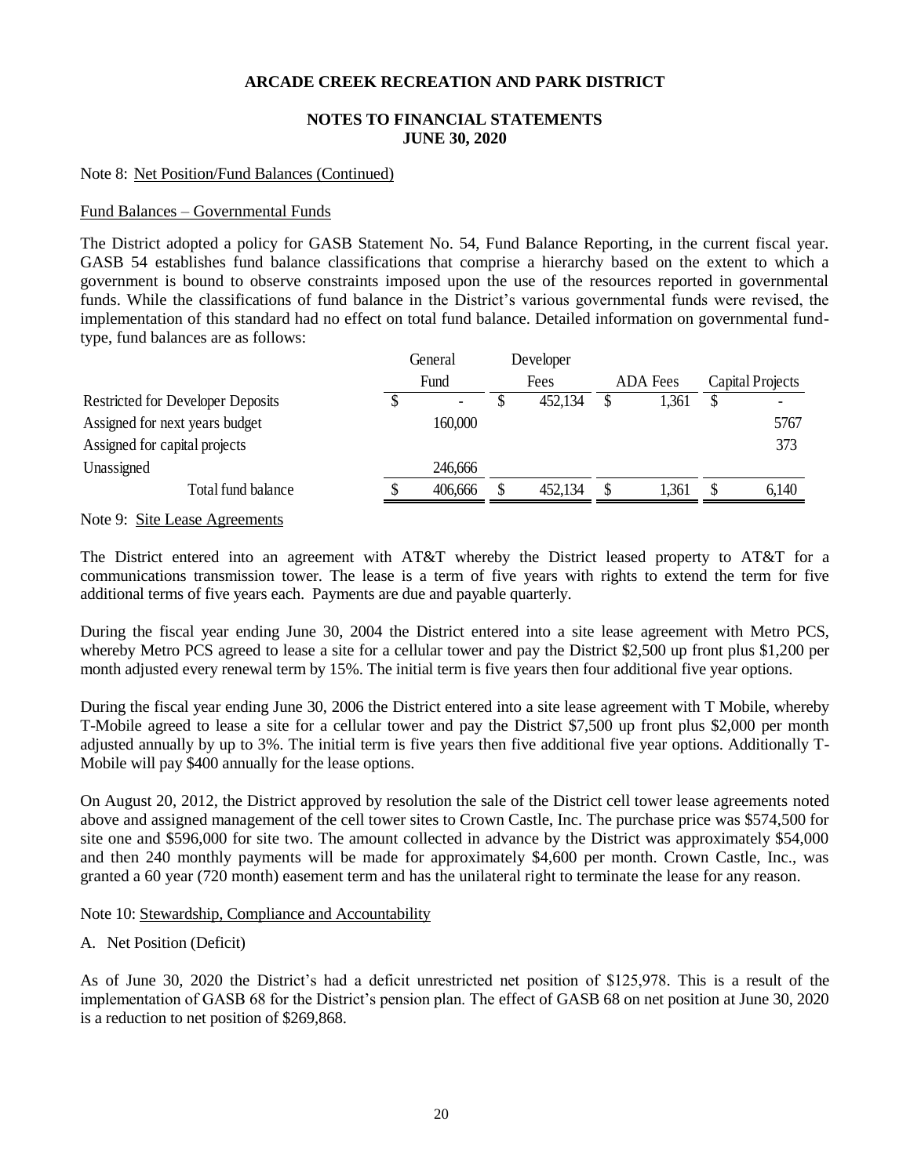## **NOTES TO FINANCIAL STATEMENTS JUNE 30, 2020**

## Note 8: Net Position/Fund Balances (Continued)

## Fund Balances – Governmental Funds

The District adopted a policy for GASB Statement No. 54, Fund Balance Reporting, in the current fiscal year. GASB 54 establishes fund balance classifications that comprise a hierarchy based on the extent to which a government is bound to observe constraints imposed upon the use of the resources reported in governmental funds. While the classifications of fund balance in the District's various governmental funds were revised, the implementation of this standard had no effect on total fund balance. Detailed information on governmental fundtype, fund balances are as follows:

|                                          |  | General                  |  | Developer |                 |       |                  |       |
|------------------------------------------|--|--------------------------|--|-----------|-----------------|-------|------------------|-------|
|                                          |  | Fees<br>Fund             |  |           | <b>ADA</b> Fees |       | Capital Projects |       |
| <b>Restricted for Developer Deposits</b> |  | $\overline{\phantom{0}}$ |  | 452,134   |                 | 1,361 |                  |       |
| Assigned for next years budget           |  | 160,000                  |  |           |                 |       |                  | 5767  |
| Assigned for capital projects            |  |                          |  |           |                 |       |                  | 373   |
| Unassigned                               |  | 246,666                  |  |           |                 |       |                  |       |
| Total fund balance                       |  | 406,666                  |  | 452,134   | S               | 1.361 |                  | 6,140 |
|                                          |  |                          |  |           |                 |       |                  |       |

Note 9: Site Lease Agreements

The District entered into an agreement with AT&T whereby the District leased property to AT&T for a communications transmission tower. The lease is a term of five years with rights to extend the term for five additional terms of five years each. Payments are due and payable quarterly.

During the fiscal year ending June 30, 2004 the District entered into a site lease agreement with Metro PCS, whereby Metro PCS agreed to lease a site for a cellular tower and pay the District \$2,500 up front plus \$1,200 per month adjusted every renewal term by 15%. The initial term is five years then four additional five year options.

During the fiscal year ending June 30, 2006 the District entered into a site lease agreement with T Mobile, whereby T-Mobile agreed to lease a site for a cellular tower and pay the District \$7,500 up front plus \$2,000 per month adjusted annually by up to 3%. The initial term is five years then five additional five year options. Additionally T-Mobile will pay \$400 annually for the lease options.

On August 20, 2012, the District approved by resolution the sale of the District cell tower lease agreements noted above and assigned management of the cell tower sites to Crown Castle, Inc. The purchase price was \$574,500 for site one and \$596,000 for site two. The amount collected in advance by the District was approximately \$54,000 and then 240 monthly payments will be made for approximately \$4,600 per month. Crown Castle, Inc., was granted a 60 year (720 month) easement term and has the unilateral right to terminate the lease for any reason.

Note 10: Stewardship, Compliance and Accountability

## A. Net Position (Deficit)

As of June 30, 2020 the District's had a deficit unrestricted net position of \$125,978. This is a result of the implementation of GASB 68 for the District's pension plan. The effect of GASB 68 on net position at June 30, 2020 is a reduction to net position of \$269,868.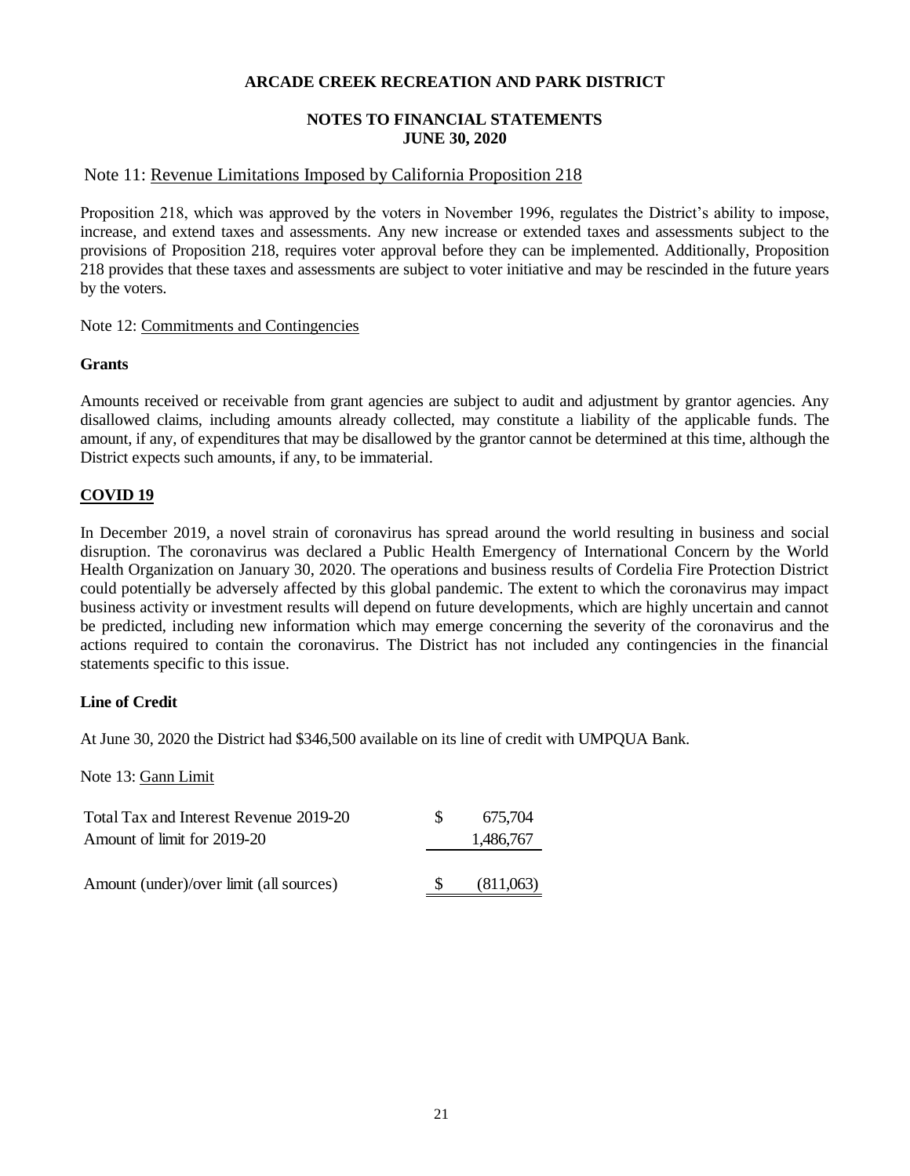# **NOTES TO FINANCIAL STATEMENTS JUNE 30, 2020**

# Note 11: Revenue Limitations Imposed by California Proposition 218

Proposition 218, which was approved by the voters in November 1996, regulates the District's ability to impose, increase, and extend taxes and assessments. Any new increase or extended taxes and assessments subject to the provisions of Proposition 218, requires voter approval before they can be implemented. Additionally, Proposition 218 provides that these taxes and assessments are subject to voter initiative and may be rescinded in the future years by the voters.

Note 12: Commitments and Contingencies

## **Grants**

Amounts received or receivable from grant agencies are subject to audit and adjustment by grantor agencies. Any disallowed claims, including amounts already collected, may constitute a liability of the applicable funds. The amount, if any, of expenditures that may be disallowed by the grantor cannot be determined at this time, although the District expects such amounts, if any, to be immaterial.

# **COVID 19**

In December 2019, a novel strain of coronavirus has spread around the world resulting in business and social disruption. The coronavirus was declared a Public Health Emergency of International Concern by the World Health Organization on January 30, 2020. The operations and business results of Cordelia Fire Protection District could potentially be adversely affected by this global pandemic. The extent to which the coronavirus may impact business activity or investment results will depend on future developments, which are highly uncertain and cannot be predicted, including new information which may emerge concerning the severity of the coronavirus and the actions required to contain the coronavirus. The District has not included any contingencies in the financial statements specific to this issue.

## **Line of Credit**

At June 30, 2020 the District had \$346,500 available on its line of credit with UMPQUA Bank.

Note 13: Gann Limit

| Total Tax and Interest Revenue 2019-20  | 675.704   |
|-----------------------------------------|-----------|
| Amount of limit for 2019-20             | 1,486,767 |
|                                         |           |
| Amount (under)/over limit (all sources) | (811,063) |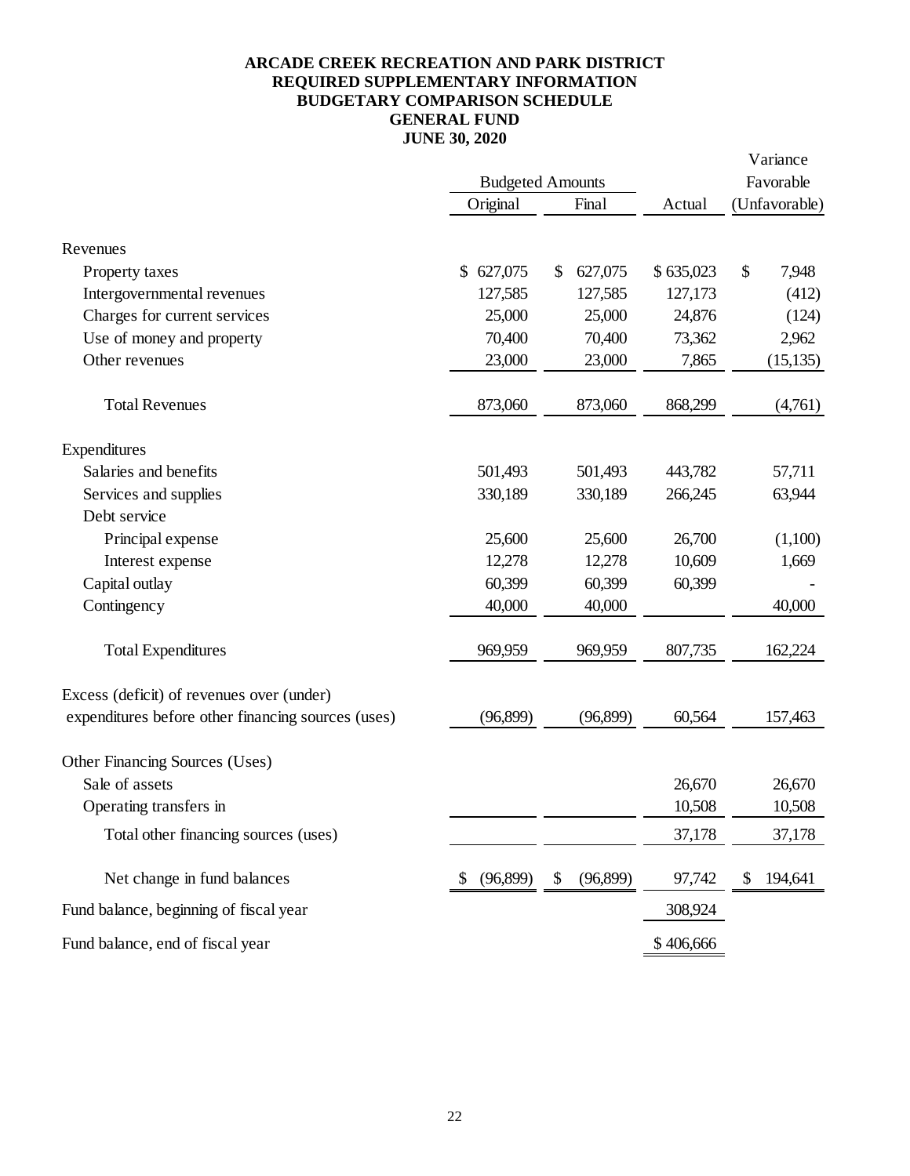# **ARCADE CREEK RECREATION AND PARK DISTRICT REQUIRED SUPPLEMENTARY INFORMATION BUDGETARY COMPARISON SCHEDULE GENERAL FUND JUNE 30, 2020**

|                                                    |                         |                |           | Variance      |  |
|----------------------------------------------------|-------------------------|----------------|-----------|---------------|--|
|                                                    | <b>Budgeted Amounts</b> |                |           | Favorable     |  |
|                                                    | Original                | Final          | Actual    | (Unfavorable) |  |
| Revenues                                           |                         |                |           |               |  |
| Property taxes                                     | \$627,075               | 627,075<br>\$  | \$635,023 | \$<br>7,948   |  |
| Intergovernmental revenues                         | 127,585                 | 127,585        | 127,173   | (412)         |  |
| Charges for current services                       | 25,000                  | 25,000         | 24,876    | (124)         |  |
| Use of money and property                          | 70,400                  | 70,400         | 73,362    | 2,962         |  |
| Other revenues                                     | 23,000                  | 23,000         | 7,865     | (15, 135)     |  |
| <b>Total Revenues</b>                              | 873,060                 | 873,060        | 868,299   | (4,761)       |  |
| Expenditures                                       |                         |                |           |               |  |
| Salaries and benefits                              | 501,493                 | 501,493        | 443,782   | 57,711        |  |
| Services and supplies                              | 330,189                 | 330,189        | 266,245   | 63,944        |  |
| Debt service                                       |                         |                |           |               |  |
| Principal expense                                  | 25,600                  | 25,600         | 26,700    | (1,100)       |  |
| Interest expense                                   | 12,278                  | 12,278         | 10,609    | 1,669         |  |
| Capital outlay                                     | 60,399                  | 60,399         | 60,399    |               |  |
| Contingency                                        | 40,000                  | 40,000         |           | 40,000        |  |
| <b>Total Expenditures</b>                          | 969,959                 | 969,959        | 807,735   | 162,224       |  |
| Excess (deficit) of revenues over (under)          |                         |                |           |               |  |
| expenditures before other financing sources (uses) | (96,899)                | (96,899)       | 60,564    | 157,463       |  |
| Other Financing Sources (Uses)                     |                         |                |           |               |  |
| Sale of assets                                     |                         |                | 26,670    | 26,670        |  |
| Operating transfers in                             |                         |                | 10,508    | 10,508        |  |
| Total other financing sources (uses)               |                         |                | 37,178    | 37,178        |  |
| Net change in fund balances                        | (96,899)<br>\$          | (96,899)<br>\$ | 97,742    | 194,641<br>S  |  |
| Fund balance, beginning of fiscal year             |                         |                | 308,924   |               |  |
| Fund balance, end of fiscal year                   |                         |                | \$406,666 |               |  |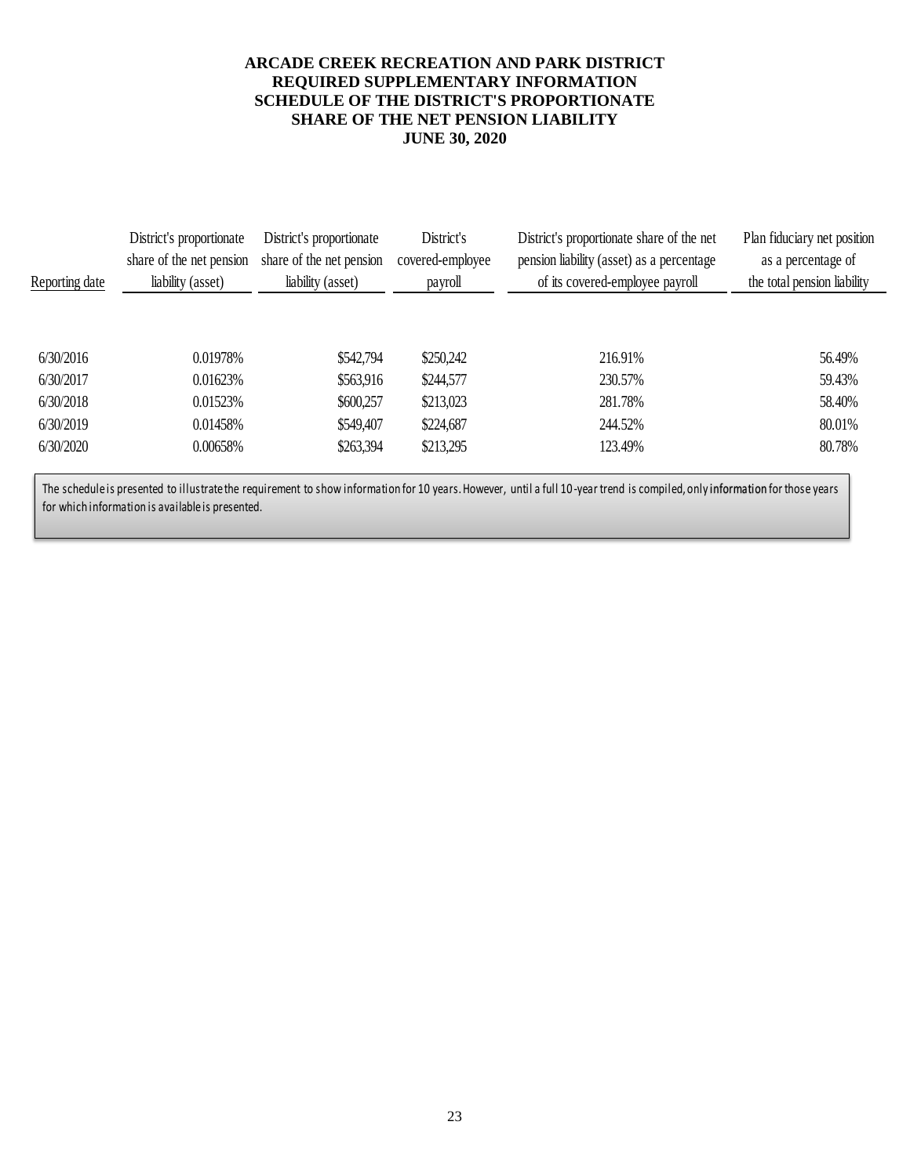## **ARCADE CREEK RECREATION AND PARK DISTRICT REQUIRED SUPPLEMENTARY INFORMATION SCHEDULE OF THE DISTRICT'S PROPORTIONATE SHARE OF THE NET PENSION LIABILITY JUNE 30, 2020**

| Reporting date | District's proportionate<br>share of the net pension<br>liability (asset) | District's proportionate<br>share of the net pension<br>liability (asset) | District's<br>covered-employee<br>payroll | District's proportionate share of the net<br>pension liability (asset) as a percentage<br>of its covered-employee payroll | Plan fiduciary net position<br>as a percentage of<br>the total pension liability |
|----------------|---------------------------------------------------------------------------|---------------------------------------------------------------------------|-------------------------------------------|---------------------------------------------------------------------------------------------------------------------------|----------------------------------------------------------------------------------|
|                |                                                                           |                                                                           |                                           |                                                                                                                           |                                                                                  |
| 6/30/2016      | 0.01978%                                                                  | \$542,794                                                                 | \$250,242                                 | 216.91%                                                                                                                   | 56.49%                                                                           |
| 6/30/2017      | 0.01623%                                                                  | \$563,916                                                                 | \$244,577                                 | 230.57%                                                                                                                   | 59.43%                                                                           |
| 6/30/2018      | 0.01523%                                                                  | \$600,257                                                                 | \$213,023                                 | 281.78%                                                                                                                   | 58.40%                                                                           |
| 6/30/2019      | 0.01458%                                                                  | \$549,407                                                                 | \$224,687                                 | 244.52%                                                                                                                   | 80.01%                                                                           |
| 6/30/2020      | 0.00658%                                                                  | \$263,394                                                                 | \$213,295                                 | 123.49%                                                                                                                   | 80.78%                                                                           |
|                |                                                                           |                                                                           |                                           |                                                                                                                           |                                                                                  |

The schedule is presented to illustrate the requirement to show information for 10 years. However, until a full 10-year trend is compiled, only information for those years for which information is available is presented.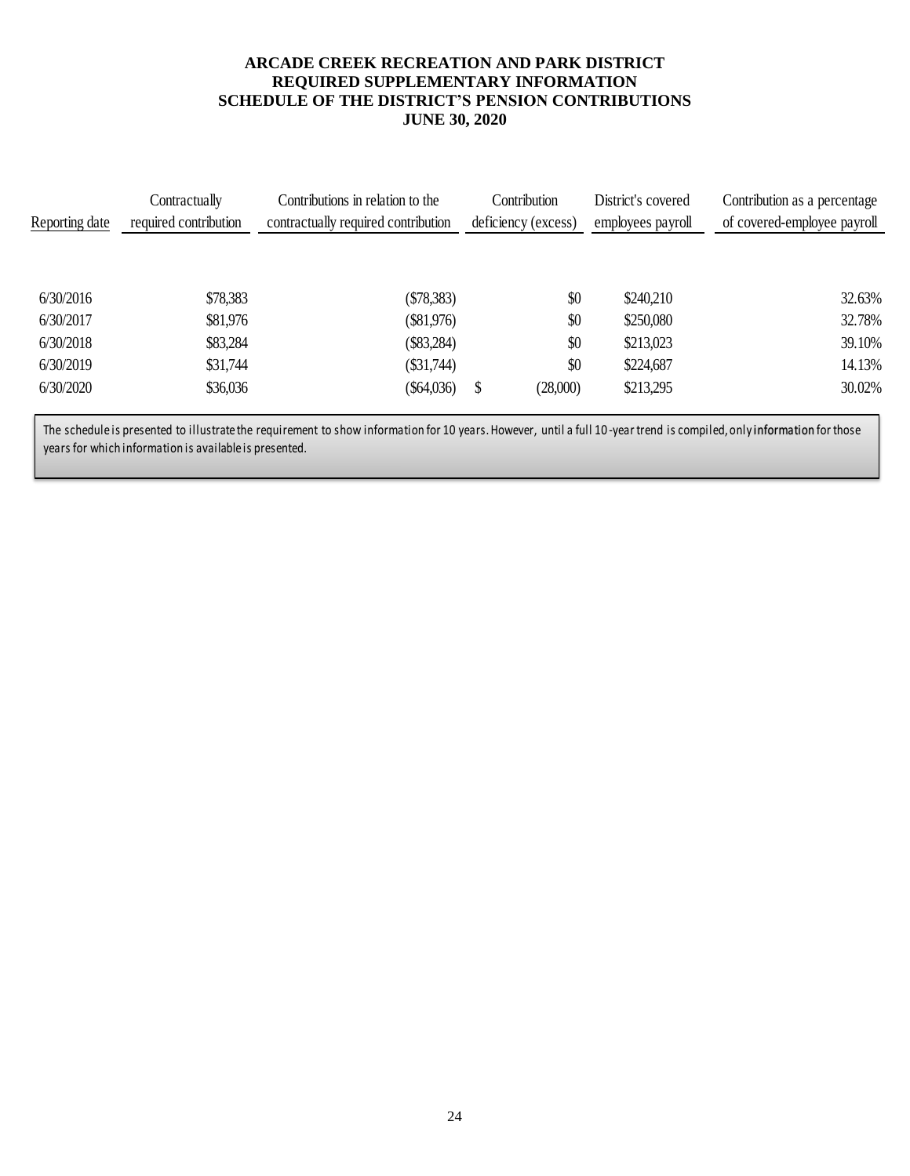# **ARCADE CREEK RECREATION AND PARK DISTRICT REQUIRED SUPPLEMENTARY INFORMATION SCHEDULE OF THE DISTRICT'S PENSION CONTRIBUTIONS JUNE 30, 2020**

| Reporting date | Contractually<br>required contribution | Contributions in relation to the<br>contractually required contribution |   | Contribution<br>deficiency (excess) | District's covered<br>employees payroll | Contribution as a percentage<br>of covered-employee payroll |
|----------------|----------------------------------------|-------------------------------------------------------------------------|---|-------------------------------------|-----------------------------------------|-------------------------------------------------------------|
|                |                                        |                                                                         |   |                                     |                                         |                                                             |
| 6/30/2016      | \$78,383                               | (\$78,383)                                                              |   | \$0                                 | \$240,210                               | 32.63%                                                      |
| 6/30/2017      | \$81,976                               | $(\$81,976)$                                                            |   | \$0                                 | \$250,080                               | 32.78%                                                      |
| 6/30/2018      | \$83,284                               | $(\$83,284)$                                                            |   | \$0                                 | \$213,023                               | 39.10%                                                      |
| 6/30/2019      | \$31,744                               | $(\$31,744)$                                                            |   | \$0                                 | \$224,687                               | 14.13%                                                      |
| 6/30/2020      | \$36,036                               | $(\$64,036)$                                                            | S | (28,000)                            | \$213,295                               | 30.02%                                                      |

The schedule is presented to illustrate the requirement to show information for 10 years. However, until a full 10 -year trend is compiled, only information for those years for which information is available is presented.